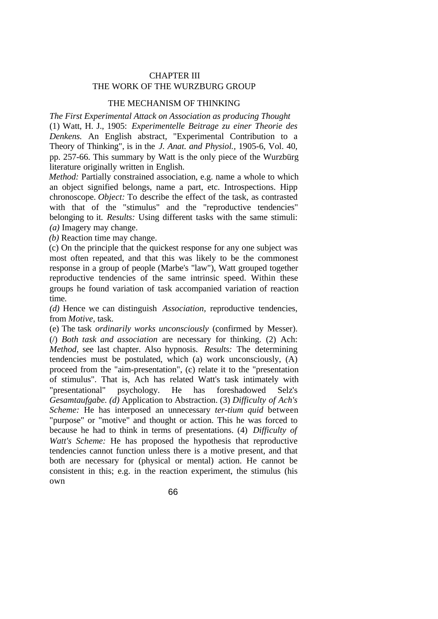# CHAPTER III THE WORK OF THE WURZBURG GROUP

## THE MECHANISM OF THINKING

*The First Experimental Attack on Association as producing Thought* (1) Watt, H. J., 1905: *Experimentelle Beitrage zu einer Theorie des Denkens.* An English abstract, "Experimental Contribution to a Theory of Thinking", is in the *J. Anat. and Physiol.,* 1905-6, Vol. 40, pp. 257-66. This summary by Watt is the only piece of the Wurzbürg literature originally written in English.

*Method:* Partially constrained association, e.g. name a whole to which an object signified belongs, name a part, etc. Introspections. Hipp chronoscope. *Object:* To describe the effect of the task, as contrasted with that of the "stimulus" and the "reproductive tendencies" belonging to it. *Results:* Using different tasks with the same stimuli: *(a)* Imagery may change.

*(b)* Reaction time may change.

(c) On the principle that the quickest response for any one subject was most often repeated, and that this was likely to be the commonest response in a group of people (Marbe's "law"), Watt grouped together reproductive tendencies of the same intrinsic speed. Within these groups he found variation of task accompanied variation of reaction time.

*(d)* Hence we can distinguish *Association,* reproductive tendencies, from *Motive,* task.

(e) The task *ordinarily works unconsciously* (confirmed by Messer). (/) *Both task and association* are necessary for thinking. (2) Ach: *Method,* see last chapter. Also hypnosis. *Results:* The determining tendencies must be postulated, which (a) work unconsciously, (A) proceed from the "aim-presentation", (c) relate it to the "presentation of stimulus". That is, Ach has related Watt's task intimately with "presentational" psychology. He has foreshadowed Selz's *Gesamtaufgabe. (d)* Application to Abstraction. (3) *Difficulty of Ach's Scheme:* He has interposed an unnecessary *ter-tium quid* between "purpose" or "motive" and thought or action. This he was forced to because he had to think in terms of presentations. (4) *Difficulty of Watt's Scheme:* He has proposed the hypothesis that reproductive tendencies cannot function unless there is a motive present, and that both are necessary for (physical or mental) action. He cannot be consistent in this; e.g. in the reaction experiment, the stimulus (his own

66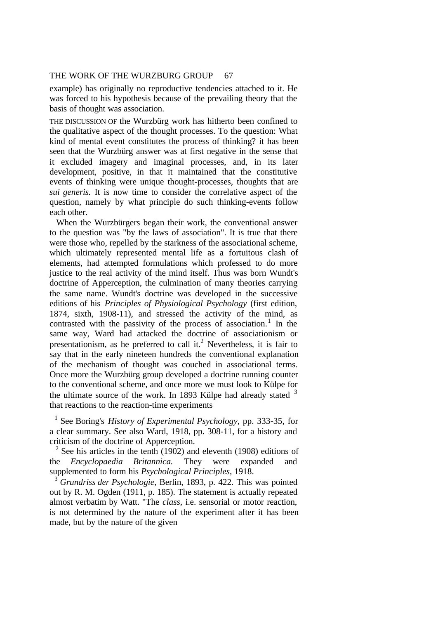example) has originally no reproductive tendencies attached to it. He was forced to his hypothesis because of the prevailing theory that the basis of thought was association.

THE DISCUSSION OF the Wurzbürg work has hitherto been confined to the qualitative aspect of the thought processes. To the question: What kind of mental event constitutes the process of thinking? it has been seen that the Wurzbürg answer was at first negative in the sense that it excluded imagery and imaginal processes, and, in its later development, positive, in that it maintained that the constitutive events of thinking were unique thought-processes, thoughts that are *sui generis.* It is now time to consider the correlative aspect of the question, namely by what principle do such thinking-events follow each other.

When the Wurzbürgers began their work, the conventional answer to the question was "by the laws of association". It is true that there were those who, repelled by the starkness of the associational scheme, which ultimately represented mental life as a fortuitous clash of elements, had attempted formulations which professed to do more justice to the real activity of the mind itself. Thus was born Wundt's doctrine of Apperception, the culmination of many theories carrying the same name. Wundt's doctrine was developed in the successive editions of his *Principles of Physiological Psychology* (first edition, 1874, sixth, 1908-11), and stressed the activity of the mind, as contrasted with the passivity of the process of association.<sup>1</sup> In the same way, Ward had attacked the doctrine of associationism or presentationism, as he preferred to call it.<sup>2</sup> Nevertheless, it is fair to say that in the early nineteen hundreds the conventional explanation of the mechanism of thought was couched in associational terms. Once more the Wurzbürg group developed a doctrine running counter to the conventional scheme, and once more we must look to Külpe for the ultimate source of the work. In 1893 Külpe had already stated  $3$ that reactions to the reaction-time experiments

1 See Boring's *History of Experimental Psychology,* pp. 333-35, for a clear summary. See also Ward, 1918, pp. 308-11, for a history and criticism of the doctrine of Apperception.

 $2$  See his articles in the tenth (1902) and eleventh (1908) editions of the *Encyclopaedia Britannica.* They were expanded and supplemented to form his *Psychological Principles,* 1918.

<sup>3</sup> Grundriss der Psychologie, Berlin, 1893, p. 422. This was pointed out by R. M. Ogden (1911, p. 185). The statement is actually repeated almost verbatim by Watt. "The *class,* i.e. sensorial or motor reaction, is not determined by the nature of the experiment after it has been made, but by the nature of the given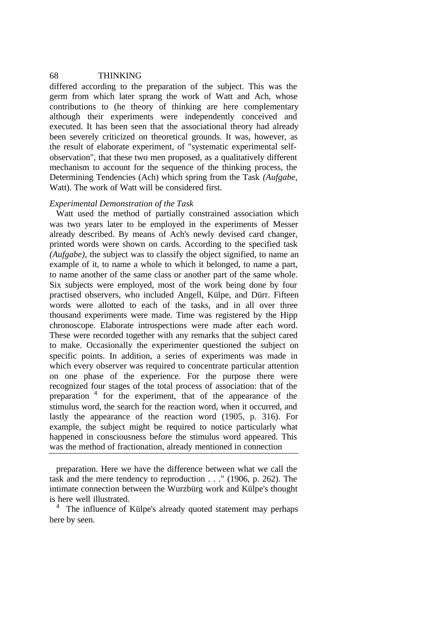differed according to the preparation of the subject. This was the germ from which later sprang the work of Watt and Ach, whose contributions to (he theory of thinking are here complementary although their experiments were independently conceived and executed. It has been seen that the associational theory had already been severely criticized on theoretical grounds. It was, however, as the result of elaborate experiment, of "systematic experimental selfobservation", that these two men proposed, as a qualitatively different mechanism to account for the sequence of the thinking process, the Determining Tendencies (Ach) which spring from the Task *(Aufgabe,* Watt). The work of Watt will be considered first.

#### *Experimental Demonstration of the Task*

Watt used the method of partially constrained association which was two years later to be employed in the experiments of Messer already described. By means of Ach's newly devised card changer, printed words were shown on cards. According to the specified task *(Aufgabe),* the subject was to classify the object signified, to name an example of it, to name a whole to which it belonged, to name a part, to name another of the same class or another part of the same whole. Six subjects were employed, most of the work being done by four practised observers, who included Angell, Külpe, and Dürr. Fifteen words were allotted to each of the tasks, and in all over three thousand experiments were made. Time was registered by the Hipp chronoscope. Elaborate introspections were made after each word. These were recorded together with any remarks that the subject cared to make. Occasionally the experimenter questioned the subject on specific points. In addition, a series of experiments was made in which every observer was required to concentrate particular attention on one phase of the experience. For the purpose there were recognized four stages of the total process of association: that of the preparation<sup>4</sup> for the experiment, that of the appearance of the stimulus word, the search for the reaction word, when it occurred, and lastly the appearance of the reaction word (1905, p. 316). For example, the subject might be required to notice particularly what happened in consciousness before the stimulus word appeared. This was the method of fractionation, already mentioned in connection

preparation. Here we have the difference between what we call the task and the mere tendency to reproduction . . ." (1906, p. 262). The intimate connection between the Wurzbürg work and Külpe's thought is here well illustrated.

<sup>4</sup> The influence of Külpe's already quoted statement may perhaps here by seen.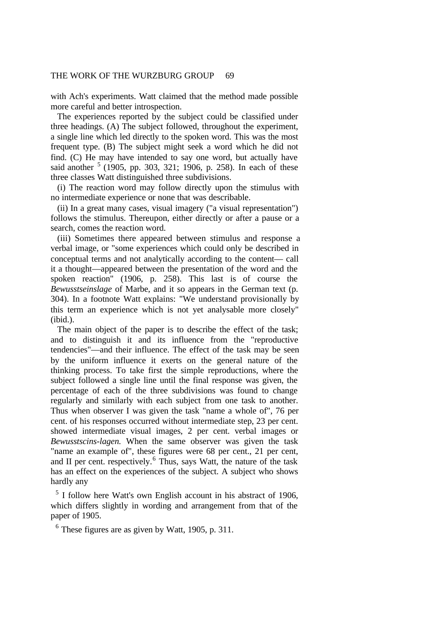with Ach's experiments. Watt claimed that the method made possible more careful and better introspection.

The experiences reported by the subject could be classified under three headings. (A) The subject followed, throughout the experiment, a single line which led directly to the spoken word. This was the most frequent type. (B) The subject might seek a word which he did not find. (C) He may have intended to say one word, but actually have said another  $5(1905, pp. 303, 321; 1906, p. 258)$ . In each of these three classes Watt distinguished three subdivisions.

(i) The reaction word may follow directly upon the stimulus with no intermediate experience or none that was describable.

(ii) In a great many cases, visual imagery ("a visual representation") follows the stimulus. Thereupon, either directly or after a pause or a search, comes the reaction word.

(iii) Sometimes there appeared between stimulus and response a verbal image, or "some experiences which could only be described in conceptual terms and not analytically according to the content— call it a thought—appeared between the presentation of the word and the spoken reaction" (1906, p. 258). This last is of course the *Bewusstseinslage* of Marbe, and it so appears in the German text (p. 304). In a footnote Watt explains: "We understand provisionally by this term an experience which is not yet analysable more closely" (ibid.).

The main object of the paper is to describe the effect of the task; and to distinguish it and its influence from the "reproductive tendencies"—and their influence. The effect of the task may be seen by the uniform influence it exerts on the general nature of the thinking process. To take first the simple reproductions, where the subject followed a single line until the final response was given, the percentage of each of the three subdivisions was found to change regularly and similarly with each subject from one task to another. Thus when observer I was given the task "name a whole of", 76 per cent. of his responses occurred without intermediate step, 23 per cent. showed intermediate visual images, 2 per cent. verbal images or *Bewusstscins-lagen.* When the same observer was given the task "name an example of", these figures were 68 per cent., 21 per cent, and II per cent. respectively.<sup>6</sup> Thus, says Watt, the nature of the task has an effect on the experiences of the subject. A subject who shows hardly any

<sup>5</sup> I follow here Watt's own English account in his abstract of 1906, which differs slightly in wording and arrangement from that of the paper of 1905.

 $6$  These figures are as given by Watt, 1905, p. 311.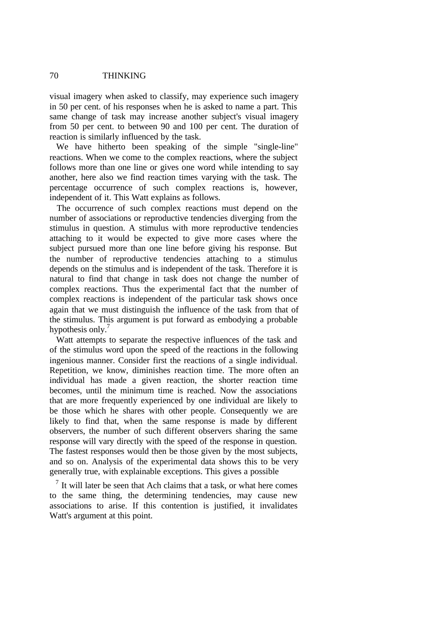visual imagery when asked to classify, may experience such imagery in 50 per cent. of his responses when he is asked to name a part. This same change of task may increase another subject's visual imagery from 50 per cent. to between 90 and 100 per cent. The duration of reaction is similarly influenced by the task.

We have hitherto been speaking of the simple "single-line" reactions. When we come to the complex reactions, where the subject follows more than one line or gives one word while intending to say another, here also we find reaction times varying with the task. The percentage occurrence of such complex reactions is, however, independent of it. This Watt explains as follows.

The occurrence of such complex reactions must depend on the number of associations or reproductive tendencies diverging from the stimulus in question. A stimulus with more reproductive tendencies attaching to it would be expected to give more cases where the subject pursued more than one line before giving his response. But the number of reproductive tendencies attaching to a stimulus depends on the stimulus and is independent of the task. Therefore it is natural to find that change in task does not change the number of complex reactions. Thus the experimental fact that the number of complex reactions is independent of the particular task shows once again that we must distinguish the influence of the task from that of the stimulus. This argument is put forward as embodying a probable hypothesis only.<sup>7</sup>

Watt attempts to separate the respective influences of the task and of the stimulus word upon the speed of the reactions in the following ingenious manner. Consider first the reactions of a single individual. Repetition, we know, diminishes reaction time. The more often an individual has made a given reaction, the shorter reaction time becomes, until the minimum time is reached. Now the associations that are more frequently experienced by one individual are likely to be those which he shares with other people. Consequently we are likely to find that, when the same response is made by different observers, the number of such different observers sharing the same response will vary directly with the speed of the response in question. The fastest responses would then be those given by the most subjects, and so on. Analysis of the experimental data shows this to be very generally true, with explainable exceptions. This gives a possible

 $<sup>7</sup>$  It will later be seen that Ach claims that a task, or what here comes</sup> to the same thing, the determining tendencies, may cause new associations to arise. If this contention is justified, it invalidates Watt's argument at this point.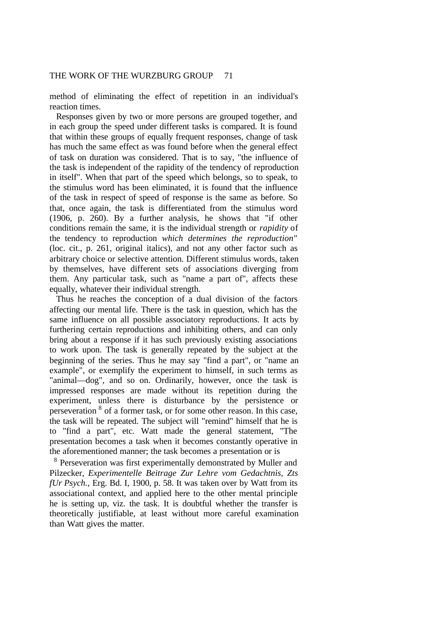method of eliminating the effect of repetition in an individual's reaction times.

Responses given by two or more persons are grouped together, and in each group the speed under different tasks is compared. It is found that within these groups of equally frequent responses, change of task has much the same effect as was found before when the general effect of task on duration was considered. That is to say, "the influence of the task is independent of the rapidity of the tendency of reproduction in itself". When that part of the speed which belongs, so to speak, to the stimulus word has been eliminated, it is found that the influence of the task in respect of speed of response is the same as before. So that, once again, the task is differentiated from the stimulus word (1906, p. 260). By a further analysis, he shows that "if other conditions remain the same, it is the individual strength or *rapidity* of the tendency to reproduction *which determines the reproduction"* (loc. cit., p. 261, original italics), and not any other factor such as arbitrary choice or selective attention. Different stimulus words, taken by themselves, have different sets of associations diverging from them. Any particular task, such as "name a part of", affects these equally, whatever their individual strength.

Thus he reaches the conception of a dual division of the factors affecting our mental life. There is the task in question, which has the same influence on all possible associatory reproductions. It acts by furthering certain reproductions and inhibiting others, and can only bring about a response if it has such previously existing associations to work upon. The task is generally repeated by the subject at the beginning of the series. Thus he may say "find a part", or "name an example", or exemplify the experiment to himself, in such terms as "animal—dog", and so on. Ordinarily, however, once the task is impressed responses are made without its repetition during the experiment, unless there is disturbance by the persistence or perseveration <sup>8</sup> of a former task, or for some other reason. In this case, the task will be repeated. The subject will "remind" himself that he is to "find a part", etc. Watt made the general statement, "The presentation becomes a task when it becomes constantly operative in the aforementioned manner; the task becomes a presentation or is

<sup>8</sup> Perseveration was first experimentally demonstrated by Muller and Pilzecker, *Experimentelle Beitrage Zur Lehre vom Gedachtnis, Zts fUr Psych.,* Erg. Bd. I, 1900, p. 58. It was taken over by Watt from its associational context, and applied here to the other mental principle he is setting up, viz. the task. It is doubtful whether the transfer is theoretically justifiable, at least without more careful examination than Watt gives the matter.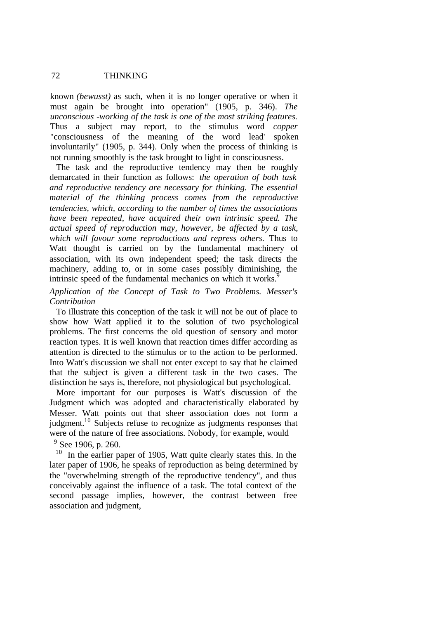known *(bewusst)* as such, when it is no longer operative or when it must again be brought into operation" (1905, p. 346). *The unconscious -working of the task is one of the most striking features.* Thus a subject may report, to the stimulus word *copper* "consciousness of the meaning of the word lead' spoken involuntarily" (1905, p. 344). Only when the process of thinking is not running smoothly is the task brought to light in consciousness.

The task and the reproductive tendency may then be roughly demarcated in their function as follows: *the operation of both task and reproductive tendency are necessary for thinking. The essential material of the thinking process comes from the reproductive tendencies, which, according to the number of times the associations have been repeated, have acquired their own intrinsic speed. The actual speed of reproduction may, however, be affected by a task, which will favour some reproductions and repress others.* Thus to Watt thought is carried on by the fundamental machinery of association, with its own independent speed; the task directs the machinery, adding to, or in some cases possibly diminishing, the intrinsic speed of the fundamental mechanics on which it works.<sup>9</sup>

# *Application of the Concept of Task to Two Problems. Messer's Contribution*

To illustrate this conception of the task it will not be out of place to show how Watt applied it to the solution of two psychological problems. The first concerns the old question of sensory and motor reaction types. It is well known that reaction times differ according as attention is directed to the stimulus or to the action to be performed. Into Watt's discussion we shall not enter except to say that he claimed that the subject is given a different task in the two cases. The distinction he says is, therefore, not physiological but psychological.

More important for our purposes is Watt's discussion of the Judgment which was adopted and characteristically elaborated by Messer. Watt points out that sheer association does not form a judgment.<sup>10</sup> Subjects refuse to recognize as judgments responses that were of the nature of free associations. Nobody, for example, would

 $9^9$  See 1906, p. 260.

<sup>10</sup> In the earlier paper of 1905, Watt quite clearly states this. In the later paper of 1906, he speaks of reproduction as being determined by the "overwhelming strength of the reproductive tendency", and thus conceivably against the influence of a task. The total context of the second passage implies, however, the contrast between free association and judgment,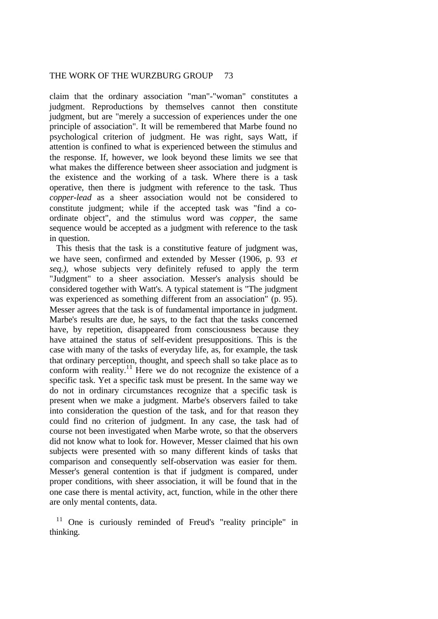claim that the ordinary association "man"-"woman" constitutes a judgment. Reproductions by themselves cannot then constitute judgment, but are "merely a succession of experiences under the one principle of association". It will be remembered that Marbe found no psychological criterion of judgment. He was right, says Watt, if attention is confined to what is experienced between the stimulus and the response. If, however, we look beyond these limits we see that what makes the difference between sheer association and judgment is the existence and the working of a task. Where there is a task operative, then there is judgment with reference to the task. Thus *copper-lead* as a sheer association would not be considered to constitute judgment; while if the accepted task was "find a coordinate object", and the stimulus word was *copper,* the same sequence would be accepted as a judgment with reference to the task in question.

This thesis that the task is a constitutive feature of judgment was, we have seen, confirmed and extended by Messer (1906, p. 93 *et seq.),* whose subjects very definitely refused to apply the term "Judgment" to a sheer association. Messer's analysis should be considered together with Watt's. A typical statement is "The judgment was experienced as something different from an association" (p. 95). Messer agrees that the task is of fundamental importance in judgment. Marbe's results are due, he says, to the fact that the tasks concerned have, by repetition, disappeared from consciousness because they have attained the status of self-evident presuppositions. This is the case with many of the tasks of everyday life, as, for example, the task that ordinary perception, thought, and speech shall so take place as to conform with reality.<sup>11</sup> Here we do not recognize the existence of a specific task. Yet a specific task must be present. In the same way we do not in ordinary circumstances recognize that a specific task is present when we make a judgment. Marbe's observers failed to take into consideration the question of the task, and for that reason they could find no criterion of judgment. In any case, the task had of course not been investigated when Marbe wrote, so that the observers did not know what to look for. However, Messer claimed that his own subjects were presented with so many different kinds of tasks that comparison and consequently self-observation was easier for them. Messer's general contention is that if judgment is compared, under proper conditions, with sheer association, it will be found that in the one case there is mental activity, act, function, while in the other there are only mental contents, data.

<sup>11</sup> One is curiously reminded of Freud's "reality principle" in thinking.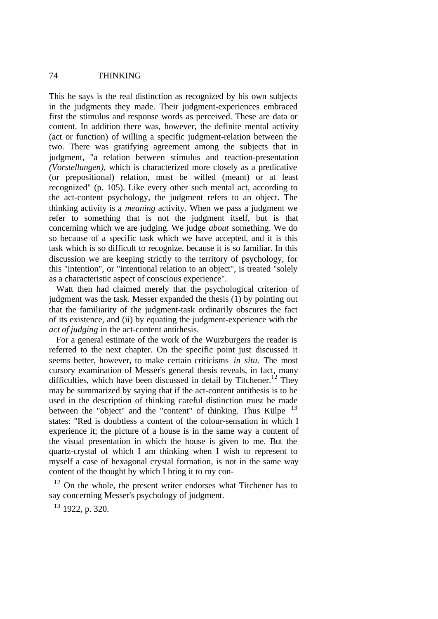This he says is the real distinction as recognized by his own subjects in the judgments they made. Their judgment-experiences embraced first the stimulus and response words as perceived. These are data or content. In addition there was, however, the definite mental activity (act or function) of willing a specific judgment-relation between the two. There was gratifying agreement among the subjects that in judgment, "a relation between stimulus and reaction-presentation *(Vorstellungen),* which is characterized more closely as a predicative (or prepositional) relation, must be willed (meant) or at least recognized" (p. 105). Like every other such mental act, according to the act-content psychology, the judgment refers to an object. The thinking activity is a *meaning* activity. When we pass a judgment we refer to something that is not the judgment itself, but is that concerning which we are judging. We judge *about* something. We do so because of a specific task which we have accepted, and it is this task which is so difficult to recognize, because it is so familiar. In this discussion we are keeping strictly to the territory of psychology, for this "intention", or "intentional relation to an object", is treated "solely as a characteristic aspect of conscious experience".

Watt then had claimed merely that the psychological criterion of judgment was the task. Messer expanded the thesis (1) by pointing out that the familiarity of the judgment-task ordinarily obscures the fact of its existence, and (ii) by equating the judgment-experience with the *act of judging* in the act-content antithesis.

For a general estimate of the work of the Wurzburgers the reader is referred to the next chapter. On the specific point just discussed it seems better, however, to make certain criticisms *in situ.* The most cursory examination of Messer's general thesis reveals, in fact, many difficulties, which have been discussed in detail by Titchener.<sup>12</sup> They may be summarized by saying that if the act-content antithesis is to be used in the description of thinking careful distinction must be made between the "object" and the "content" of thinking. Thus Külpe  $13$ states: "Red is doubtless a content of the colour-sensation in which I experience it; the picture of a house is in the same way a content of the visual presentation in which the house is given to me. But the quartz-crystal of which I am thinking when I wish to represent to myself a case of hexagonal crystal formation, is not in the same way content of the thought by which I bring it to my con-

 $12$  On the whole, the present writer endorses what Titchener has to say concerning Messer's psychology of judgment.

<sup>13</sup> 1922, p. 320.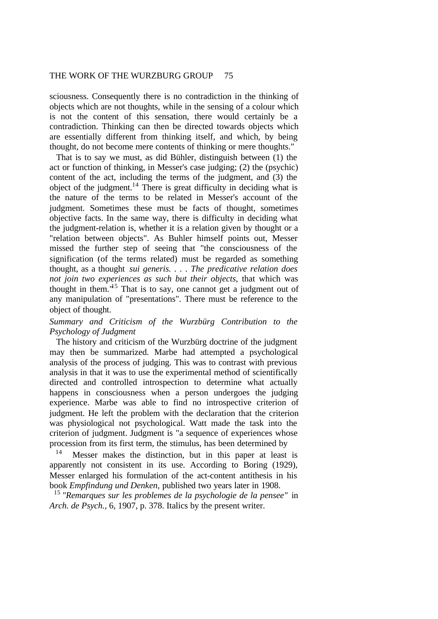sciousness. Consequently there is no contradiction in the thinking of objects which are not thoughts, while in the sensing of a colour which is not the content of this sensation, there would certainly be a contradiction. Thinking can then be directed towards objects which are essentially different from thinking itself, and which, by being thought, do not become mere contents of thinking or mere thoughts."

That is to say we must, as did Bühler, distinguish between (1) the act or function of thinking, in Messer's case judging; (2) the (psychic) content of the act, including the terms of the judgment, and (3) the object of the judgment.<sup>14</sup> There is great difficulty in deciding what is the nature of the terms to be related in Messer's account of the judgment. Sometimes these must be facts of thought, sometimes objective facts. In the same way, there is difficulty in deciding what the judgment-relation is, whether it is a relation given by thought or a "relation between objects". As Buhler himself points out, Messer missed the further step of seeing that "the consciousness of the signification (of the terms related) must be regarded as something thought, as a thought *sui generis. . . . The predicative relation does not join two experiences as such but their objects,* that which was thought in them. $15$  That is to say, one cannot get a judgment out of any manipulation of "presentations". There must be reference to the object of thought.

# *Summary and Criticism of the Wurzbürg Contribution to the Psychology of Judgment*

The history and criticism of the Wurzbürg doctrine of the judgment may then be summarized. Marbe had attempted a psychological analysis of the process of judging. This was to contrast with previous analysis in that it was to use the experimental method of scientifically directed and controlled introspection to determine what actually happens in consciousness when a person undergoes the judging experience. Marbe was able to find no introspective criterion of judgment. He left the problem with the declaration that the criterion was physiological not psychological. Watt made the task into the criterion of judgment. Judgment is "a sequence of experiences whose procession from its first term, the stimulus, has been determined by

Messer makes the distinction, but in this paper at least is apparently not consistent in its use. According to Boring (1929), Messer enlarged his formulation of the act-content antithesis in his book *Empfindung und Denken,* published two years later in 1908.

<sup>15</sup> *"Remarques sur les problemes de la psychologie de la pensee"* in *Arch. de Psych.,* 6, 1907, p. 378. Italics by the present writer.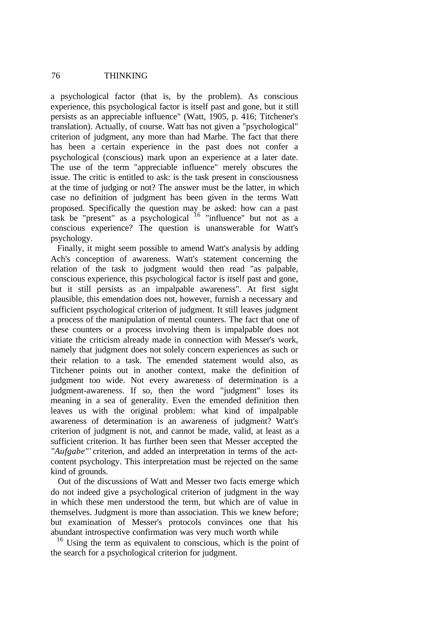a psychological factor (that is, by the problem). As conscious experience, this psychological factor is itself past and gone, but it still persists as an appreciable influence" (Watt, 1905, p. 416; Titchener's translation). Actually, of course. Watt has not given a "psychological" criterion of judgment, any more than had Marbe. The fact that there has been a certain experience in the past does not confer a psychological (conscious) mark upon an experience at a later date. The use of the term "appreciable influence" merely obscures the issue. The critic is entitled to ask: is the task present in consciousness at the time of judging or not? The answer must be the latter, in which case no definition of judgment has been given in the terms Watt proposed. Specifically the question may be asked: how can a past task be "present" as a psychological  $16$  "influence" but not as a conscious experience? The question is unanswerable for Watt's psychology.

Finally, it might seem possible to amend Watt's analysis by adding Ach's conception of awareness. Watt's statement concerning the relation of the task to judgment would then read "as palpable, conscious experience, this psychological factor is itself past and gone, but it still persists as an impalpable awareness". At first sight plausible, this emendation does not, however, furnish a necessary and sufficient psychological criterion of judgment. It still leaves judgment a process of the manipulation of mental counters. The fact that one of these counters or a process involving them is impalpable does not vitiate the criticism already made in connection with Messer's work, namely that judgment does not solely concern experiences as such or their relation to a task. The emended statement would also, as Titchener points out in another context, make the definition of judgment too wide. Not every awareness of determination is a judgment-awareness. If so, then the word "judgment" loses its meaning in a sea of generality. Even the emended definition then leaves us with the original problem: what kind of impalpable awareness of determination is an awareness of judgment? Watt's criterion of judgment is not, and cannot be made, valid, at least as a sufficient criterion. It has further been seen that Messer accepted the *"Aufgabe"'* criterion, and added an interpretation in terms of the actcontent psychology. This interpretation must be rejected on the same kind of grounds.

Out of the discussions of Watt and Messer two facts emerge which do not indeed give a psychological criterion of judgment in the way in which these men understood the term, but which are of value in themselves. Judgment is more than association. This we knew before; but examination of Messer's protocols convinces one that his abundant introspective confirmation was very much worth while

 $16$  Using the term as equivalent to conscious, which is the point of the search for a psychological criterion for judgment.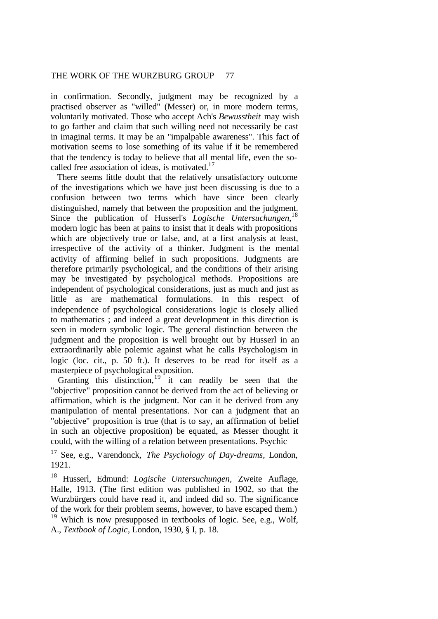in confirmation. Secondly, judgment may be recognized by a practised observer as "willed" (Messer) or, in more modern terms, voluntarily motivated. Those who accept Ach's *Bewusstheit* may wish to go farther and claim that such willing need not necessarily be cast in imaginal terms. It may be an "impalpable awareness". This fact of motivation seems to lose something of its value if it be remembered that the tendency is today to believe that all mental life, even the socalled free association of ideas, is motivated. $17$ 

There seems little doubt that the relatively unsatisfactory outcome of the investigations which we have just been discussing is due to a confusion between two terms which have since been clearly distinguished, namely that between the proposition and the judgment. Since the publication of Husserl's *Logische Untersuchungen,*<sup>18</sup> modern logic has been at pains to insist that it deals with propositions which are objectively true or false, and, at a first analysis at least, irrespective of the activity of a thinker. Judgment is the mental activity of affirming belief in such propositions. Judgments are therefore primarily psychological, and the conditions of their arising may be investigated by psychological methods. Propositions are independent of psychological considerations, just as much and just as little as are mathematical formulations. In this respect of independence of psychological considerations logic is closely allied to mathematics ; and indeed a great development in this direction is seen in modern symbolic logic. The general distinction between the judgment and the proposition is well brought out by Husserl in an extraordinarily able polemic against what he calls Psychologism in logic (loc. cit., p. 50 ft.). It deserves to be read for itself as a masterpiece of psychological exposition.

Granting this distinction,  $19<sup>1</sup>$  it can readily be seen that the "objective" proposition cannot be derived from the act of believing or affirmation, which is the judgment. Nor can it be derived from any manipulation of mental presentations. Nor can a judgment that an "objective" proposition is true (that is to say, an affirmation of belief in such an objective proposition) be equated, as Messer thought it could, with the willing of a relation between presentations. Psychic

<sup>17</sup> See, e.g., Varendonck, *The Psychology of Day-dreams,* London, 1921.

<sup>18</sup> Husserl, Edmund: *Logische Untersuchungen,* Zweite Auflage, Halle, 1913. (The first edition was published in 1902, so that the Wurzbürgers could have read it, and indeed did so. The significance of the work for their problem seems, however, to have escaped them.)  $19$  Which is now presupposed in textbooks of logic. See, e.g., Wolf, A., *Textbook of Logic,* London, 1930, § I, p. 18.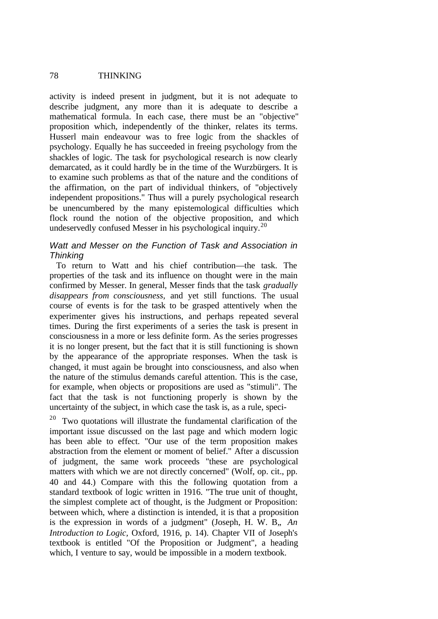activity is indeed present in judgment, but it is not adequate to describe judgment, any more than it is adequate to describe a mathematical formula. In each case, there must be an "objective" proposition which, independently of the thinker, relates its terms. Husserl main endeavour was to free logic from the shackles of psychology. Equally he has succeeded in freeing psychology from the shackles of logic. The task for psychological research is now clearly demarcated, as it could hardly be in the time of the Wurzbürgers. It is to examine such problems as that of the nature and the conditions of the affirmation, on the part of individual thinkers, of "objectively independent propositions." Thus will a purely psychological research be unencumbered by the many epistemological difficulties which flock round the notion of the objective proposition, and which undeservedly confused Messer in his psychological inquiry.<sup>20</sup>

# *Watt and Messer on the Function of Task and Association in Thinking*

To return to Watt and his chief contribution—the task. The properties of the task and its influence on thought were in the main confirmed by Messer. In general, Messer finds that the task *gradually disappears from consciousness,* and yet still functions. The usual course of events is for the task to be grasped attentively when the experimenter gives his instructions, and perhaps repeated several times. During the first experiments of a series the task is present in consciousness in a more or less definite form. As the series progresses it is no longer present, but the fact that it is still functioning is shown by the appearance of the appropriate responses. When the task is changed, it must again be brought into consciousness, and also when the nature of the stimulus demands careful attention. This is the case, for example, when objects or propositions are used as "stimuli". The fact that the task is not functioning properly is shown by the uncertainty of the subject, in which case the task is, as a rule, speci-

<sup>20</sup> Two quotations will illustrate the fundamental clarification of the important issue discussed on the last page and which modern logic has been able to effect. "Our use of the term proposition makes abstraction from the element or moment of belief." After a discussion of judgment, the same work proceeds "these are psychological matters with which we are not directly concerned" (Wolf, op. cit., pp. 40 and 44.) Compare with this the following quotation from a standard textbook of logic written in 1916. "The true unit of thought, the simplest complete act of thought, is the Judgment or Proposition: between which, where a distinction is intended, it is that a proposition is the expression in words of a judgment" (Joseph, H. W. B,, An *Introduction to Logic,* Oxford, 1916, p. 14). Chapter VII of Joseph's textbook is entitled "Of the Proposition or Judgment", a heading which, I venture to say, would be impossible in a modern textbook.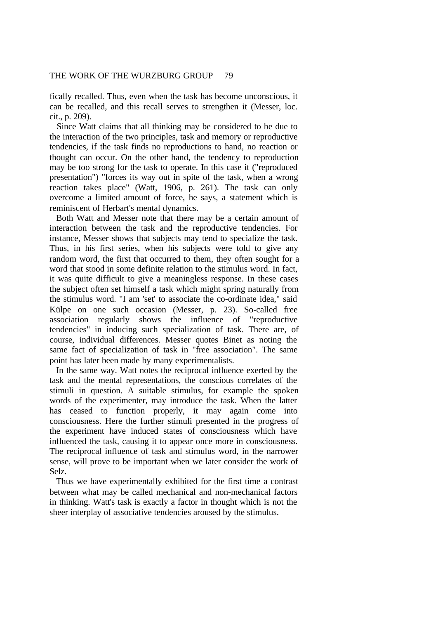fically recalled. Thus, even when the task has become unconscious, it can be recalled, and this recall serves to strengthen it (Messer, loc. cit., p. 209).

Since Watt claims that all thinking may be considered to be due to the interaction of the two principles, task and memory or reproductive tendencies, if the task finds no reproductions to hand, no reaction or thought can occur. On the other hand, the tendency to reproduction may be too strong for the task to operate. In this case it ("reproduced presentation") "forces its way out in spite of the task, when a wrong reaction takes place" (Watt, 1906, p. 261). The task can only overcome a limited amount of force, he says, a statement which is reminiscent of Herbart's mental dynamics.

Both Watt and Messer note that there may be a certain amount of interaction between the task and the reproductive tendencies. For instance, Messer shows that subjects may tend to specialize the task. Thus, in his first series, when his subjects were told to give any random word, the first that occurred to them, they often sought for a word that stood in some definite relation to the stimulus word. In fact, it was quite difficult to give a meaningless response. In these cases the subject often set himself a task which might spring naturally from the stimulus word. "I am 'set' to associate the co-ordinate idea," said Külpe on one such occasion (Messer, p. 23). So-called free association regularly shows the influence of "reproductive tendencies" in inducing such specialization of task. There are, of course, individual differences. Messer quotes Binet as noting the same fact of specialization of task in "free association". The same point has later been made by many experimentalists.

In the same way. Watt notes the reciprocal influence exerted by the task and the mental representations, the conscious correlates of the stimuli in question. A suitable stimulus, for example the spoken words of the experimenter, may introduce the task. When the latter has ceased to function properly, it may again come into consciousness. Here the further stimuli presented in the progress of the experiment have induced states of consciousness which have influenced the task, causing it to appear once more in consciousness. The reciprocal influence of task and stimulus word, in the narrower sense, will prove to be important when we later consider the work of Selz.

Thus we have experimentally exhibited for the first time a contrast between what may be called mechanical and non-mechanical factors in thinking. Watt's task is exactly a factor in thought which is not the sheer interplay of associative tendencies aroused by the stimulus.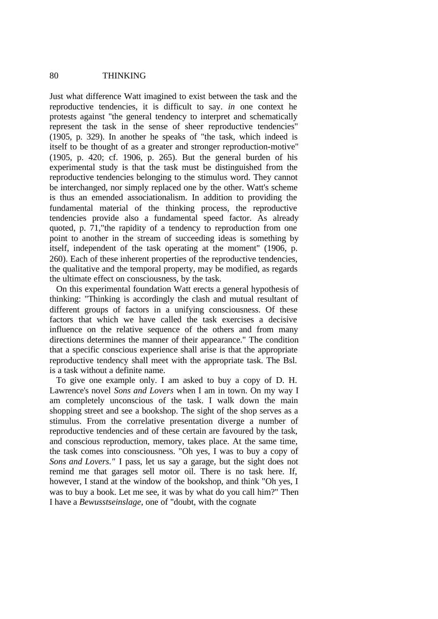Just what difference Watt imagined to exist between the task and the reproductive tendencies, it is difficult to say. *in* one context he protests against "the general tendency to interpret and schematically represent the task in the sense of sheer reproductive tendencies" (1905, p. 329). In another he speaks of "the task, which indeed is itself to be thought of as a greater and stronger reproduction-motive" (1905, p. 420; cf. 1906, p. 265). But the general burden of his experimental study is that the task must be distinguished from the reproductive tendencies belonging to the stimulus word. They cannot be interchanged, nor simply replaced one by the other. Watt's scheme is thus an emended associationalism. In addition to providing the fundamental material of the thinking process, the reproductive tendencies provide also a fundamental speed factor. As already quoted, p. 71,"the rapidity of a tendency to reproduction from one point to another in the stream of succeeding ideas is something by itself, independent of the task operating at the moment" (1906, p. 260). Each of these inherent properties of the reproductive tendencies, the qualitative and the temporal property, may be modified, as regards the ultimate effect on consciousness, by the task.

On this experimental foundation Watt erects a general hypothesis of thinking: "Thinking is accordingly the clash and mutual resultant of different groups of factors in a unifying consciousness. Of these factors that which we have called the task exercises a decisive influence on the relative sequence of the others and from many directions determines the manner of their appearance." The condition that a specific conscious experience shall arise is that the appropriate reproductive tendency shall meet with the appropriate task. The Bsl. is a task without a definite name.

To give one example only. I am asked to buy a copy of D. H. Lawrence's novel *Sons and Lovers* when I am in town. On my way I am completely unconscious of the task. I walk down the main shopping street and see a bookshop. The sight of the shop serves as a stimulus. From the correlative presentation diverge a number of reproductive tendencies and of these certain are favoured by the task, and conscious reproduction, memory, takes place. At the same time, the task comes into consciousness. "Oh yes, I was to buy a copy of *Sons and Lovers."* I pass, let us say a garage, but the sight does not remind me that garages sell motor oil. There is no task here. If, however, I stand at the window of the bookshop, and think "Oh yes, I was to buy a book. Let me see, it was by what do you call him?" Then I have a *Bewusstseinslage,* one of "doubt, with the cognate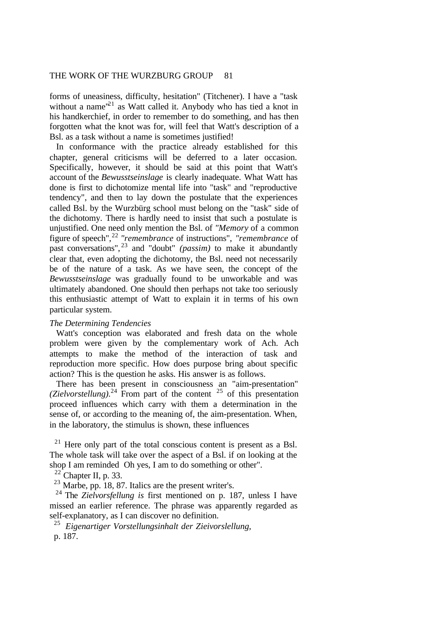forms of uneasiness, difficulty, hesitation" (Titchener). I have a "task without a name<sup> $21$ </sup> as Watt called it. Anybody who has tied a knot in his handkerchief, in order to remember to do something, and has then forgotten what the knot was for, will feel that Watt's description of a Bsl. as a task without a name is sometimes justified!

In conformance with the practice already established for this chapter, general criticisms will be deferred to a later occasion. Specifically, however, it should be said at this point that Watt's account of the *Bewusstseinslage* is clearly inadequate. What Watt has done is first to dichotomize mental life into "task" and "reproductive tendency", and then to lay down the postulate that the experiences called Bsl. by the Wurzbürg school must belong on the "task" side of the dichotomy. There is hardly need to insist that such a postulate is unjustified. One need only mention the Bsl. of *"Memory* of a common figure of speech",<sup>22</sup> *"remembrance* of instructions", *"remembrance* of past conversations", <sup>23</sup> and "doubt" *(passim)* to make it abundantly clear that, even adopting the dichotomy, the Bsl. need not necessarily be of the nature of a task. As we have seen, the concept of the *Bewusstseinslage* was gradually found to be unworkable and was ultimately abandoned. One should then perhaps not take too seriously this enthusiastic attempt of Watt to explain it in terms of his own particular system.

#### *The Determining Tendencies*

Watt's conception was elaborated and fresh data on the whole problem were given by the complementary work of Ach. Ach attempts to make the method of the interaction of task and reproduction more specific. How does purpose bring about specific action? This is the question he asks. His answer is as follows.

There has been present in consciousness an "aim-presentation" *(Zielvorstellung).*<sup>24</sup> From part of the content  $^{25}$  of this presentation proceed influences which carry with them a determination in the sense of, or according to the meaning of, the aim-presentation. When, in the laboratory, the stimulus is shown, these influences

 $21$  Here only part of the total conscious content is present as a Bsl. The whole task will take over the aspect of a Bsl. if on looking at the shop I am reminded Oh yes, I am to do something or other".

 $22$ <sup> $22$ </sup>Chapter II, p. 33.

 $23$  Marbe, pp. 18, 87. Italics are the present writer's.

<sup>24</sup> The *Zielvorsfellung is* first mentioned on p. 187, unless I have missed an earlier reference. The phrase was apparently regarded as self-explanatory, as I can discover no definition.

25 *Eigenartiger Vorstellungsinhalt der Zieivorslellung,* p. 187.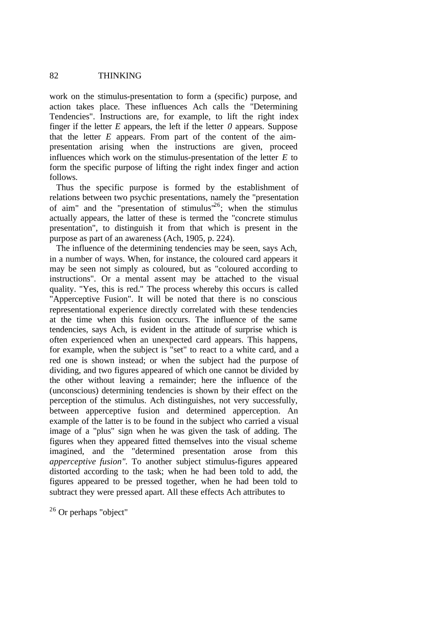work on the stimulus-presentation to form a (specific) purpose, and action takes place. These influences Ach calls the "Determining Tendencies". Instructions are, for example, to lift the right index finger if the letter  $E$  appears, the left if the letter  $\theta$  appears. Suppose that the letter *E* appears. From part of the content of the aimpresentation arising when the instructions are given, proceed influences which work on the stimulus-presentation of the letter *E* to form the specific purpose of lifting the right index finger and action follows.

Thus the specific purpose is formed by the establishment of relations between two psychic presentations, namely the "presentation of aim" and the "presentation of stimulus"<sup>26</sup>; when the stimulus actually appears, the latter of these is termed the "concrete stimulus presentation", to distinguish it from that which is present in the purpose as part of an awareness (Ach, 1905, p. 224).

The influence of the determining tendencies may be seen, says Ach, in a number of ways. When, for instance, the coloured card appears it may be seen not simply as coloured, but as "coloured according to instructions". Or a mental assent may be attached to the visual quality. "Yes, this is red." The process whereby this occurs is called "Apperceptive Fusion". It will be noted that there is no conscious representational experience directly correlated with these tendencies at the time when this fusion occurs. The influence of the same tendencies, says Ach, is evident in the attitude of surprise which is often experienced when an unexpected card appears. This happens, for example, when the subject is "set" to react to a white card, and a red one is shown instead; or when the subject had the purpose of dividing, and two figures appeared of which one cannot be divided by the other without leaving a remainder; here the influence of the (unconscious) determining tendencies is shown by their effect on the perception of the stimulus. Ach distinguishes, not very successfully, between apperceptive fusion and determined apperception. An example of the latter is to be found in the subject who carried a visual image of a "plus" sign when he was given the task of adding. The figures when they appeared fitted themselves into the visual scheme imagined, and the "determined presentation arose from this *apperceptive fusion".* To another subject stimulus-figures appeared distorted according to the task; when he had been told to add, the figures appeared to be pressed together, when he had been told to subtract they were pressed apart. All these effects Ach attributes to

 $26$  Or perhaps "object"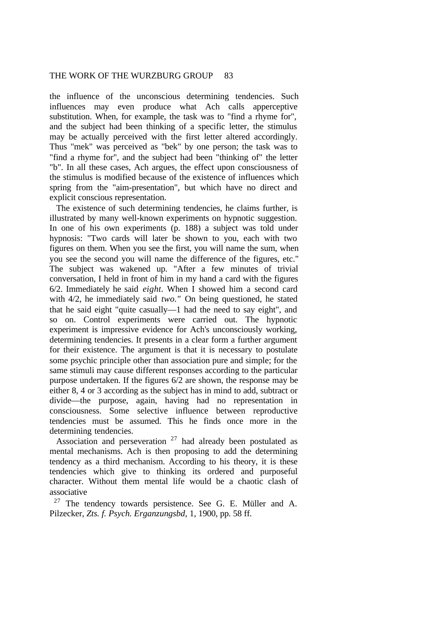the influence of the unconscious determining tendencies. Such influences may even produce what Ach calls apperceptive substitution. When, for example, the task was to "find a rhyme for", and the subject had been thinking of a specific letter, the stimulus may be actually perceived with the first letter altered accordingly. Thus "mek" was perceived as "bek" by one person; the task was to "find a rhyme for", and the subject had been "thinking of" the letter "b". In all these cases, Ach argues, the effect upon consciousness of the stimulus is modified because of the existence of influences which spring from the "aim-presentation", but which have no direct and explicit conscious representation.

The existence of such determining tendencies, he claims further, is illustrated by many well-known experiments on hypnotic suggestion. In one of his own experiments (p. 188) a subject was told under hypnosis: "Two cards will later be shown to you, each with two figures on them. When you see the first, you will name the sum, when you see the second you will name the difference of the figures, etc." The subject was wakened up. "After a few minutes of trivial conversation, I held in front of him in my hand a card with the figures 6/2. Immediately he said *eight.* When I showed him a second card with 4/2, he immediately said *two."* On being questioned, he stated that he said eight "quite casually—1 had the need to say eight", and so on. Control experiments were carried out. The hypnotic experiment is impressive evidence for Ach's unconsciously working, determining tendencies. It presents in a clear form a further argument for their existence. The argument is that it is necessary to postulate some psychic principle other than association pure and simple; for the same stimuli may cause different responses according to the particular purpose undertaken. If the figures 6/2 are shown, the response may be either 8, 4 or 3 according as the subject has in mind to add, subtract or divide—the purpose, again, having had no representation in consciousness. Some selective influence between reproductive tendencies must be assumed. This he finds once more in the determining tendencies.

Association and perseveration  $27$  had already been postulated as mental mechanisms. Ach is then proposing to add the determining tendency as a third mechanism. According to his theory, it is these tendencies which give to thinking its ordered and purposeful character. Without them mental life would be a chaotic clash of associative

 $27$  The tendency towards persistence. See G. E. Müller and A. Pilzecker, *Zts. f. Psych. Erganzungsbd,* 1, 1900, pp. 58 ff.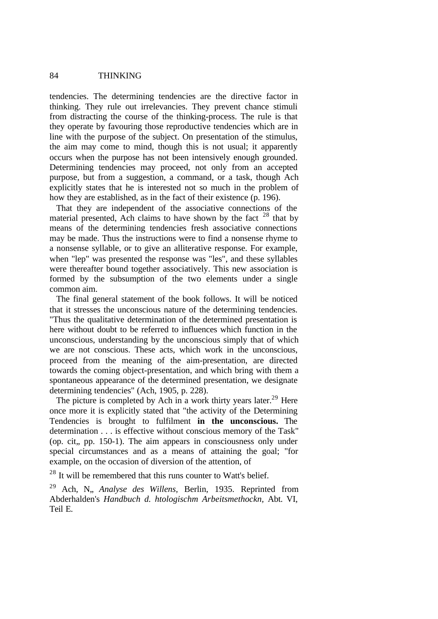tendencies. The determining tendencies are the directive factor in thinking. They rule out irrelevancies. They prevent chance stimuli from distracting the course of the thinking-process. The rule is that they operate by favouring those reproductive tendencies which are in line with the purpose of the subject. On presentation of the stimulus, the aim may come to mind, though this is not usual; it apparently occurs when the purpose has not been intensively enough grounded. Determining tendencies may proceed, not only from an accepted purpose, but from a suggestion, a command, or a task, though Ach explicitly states that he is interested not so much in the problem of how they are established, as in the fact of their existence (p. 196).

That they are independent of the associative connections of the material presented, Ach claims to have shown by the fact  $28$  that by means of the determining tendencies fresh associative connections may be made. Thus the instructions were to find a nonsense rhyme to a nonsense syllable, or to give an alliterative response. For example, when "lep" was presented the response was "les", and these syllables were thereafter bound together associatively. This new association is formed by the subsumption of the two elements under a single common aim.

The final general statement of the book follows. It will be noticed that it stresses the unconscious nature of the determining tendencies. "Thus the qualitative determination of the determined presentation is here without doubt to be referred to influences which function in the unconscious, understanding by the unconscious simply that of which we are not conscious. These acts, which work in the unconscious, proceed from the meaning of the aim-presentation, are directed towards the coming object-presentation, and which bring with them a spontaneous appearance of the determined presentation, we designate determining tendencies" (Ach, 1905, p. 228).

The picture is completed by Ach in a work thirty years later.<sup>29</sup> Here once more it is explicitly stated that "the activity of the Determining Tendencies is brought to fulfilment **in the unconscious.** The determination . . . is effective without conscious memory of the Task" (op. cit., pp.  $150-1$ ). The aim appears in consciousness only under special circumstances and as a means of attaining the goal; "for example, on the occasion of diversion of the attention, of

<sup>28</sup> It will be remembered that this runs counter to Watt's belief.

<sup>29</sup> Ach, N" *Analyse des Willens,* Berlin, 1935. Reprinted from Abderhalden's *Handbuch d. htologischm Arbeitsmethockn,* Abt. VI, Teil E.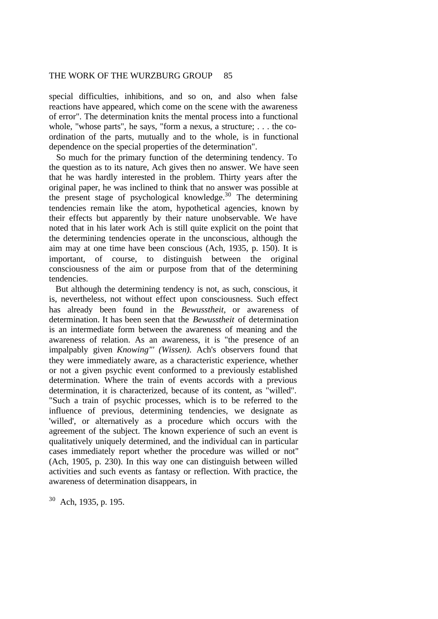special difficulties, inhibitions, and so on, and also when false reactions have appeared, which come on the scene with the awareness of error". The determination knits the mental process into a functional whole, "whose parts", he says, "form a nexus, a structure; . . . the coordination of the parts, mutually and to the whole, is in functional dependence on the special properties of the determination".

So much for the primary function of the determining tendency. To the question as to its nature, Ach gives then no answer. We have seen that he was hardly interested in the problem. Thirty years after the original paper, he was inclined to think that no answer was possible at the present stage of psychological knowledge. $30$  The determining tendencies remain like the atom, hypothetical agencies, known by their effects but apparently by their nature unobservable. We have noted that in his later work Ach is still quite explicit on the point that the determining tendencies operate in the unconscious, although the aim may at one time have been conscious (Ach, 1935, p. 150). It is important, of course, to distinguish between the original consciousness of the aim or purpose from that of the determining tendencies.

But although the determining tendency is not, as such, conscious, it is, nevertheless, not without effect upon consciousness. Such effect has already been found in the *Bewusstheit,* or awareness of determination. It has been seen that the *Bewusstheit* of determination is an intermediate form between the awareness of meaning and the awareness of relation. As an awareness, it is "the presence of an impalpably given *Knowing"' (Wissen).* Ach's observers found that they were immediately aware, as a characteristic experience, whether or not a given psychic event conformed to a previously established determination. Where the train of events accords with a previous determination, it is characterized, because of its content, as "willed". "Such a train of psychic processes, which is to be referred to the influence of previous, determining tendencies, we designate as 'willed', or alternatively as a procedure which occurs with the agreement of the subject. The known experience of such an event is qualitatively uniquely determined, and the individual can in particular cases immediately report whether the procedure was willed or not" (Ach, 1905, p. 230). In this way one can distinguish between willed activities and such events as fantasy or reflection. With practice, the awareness of determination disappears, in

<sup>30</sup> Ach, 1935, p. 195.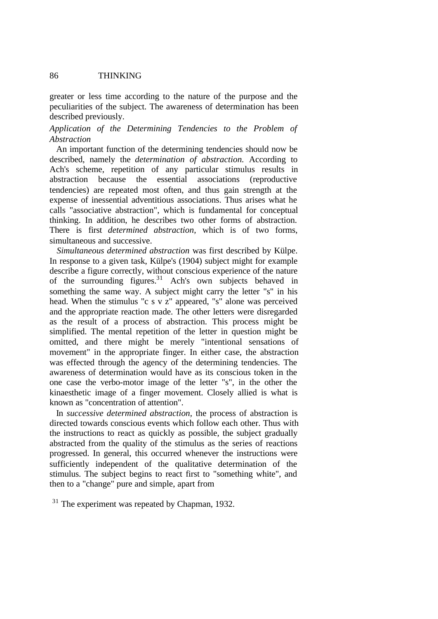greater or less time according to the nature of the purpose and the peculiarities of the subject. The awareness of determination has been described previously.

# *Application of the Determining Tendencies to the Problem of Abstraction*

An important function of the determining tendencies should now be described, namely the *determination of abstraction.* According to Ach's scheme, repetition of any particular stimulus results in abstraction because the essential associations (reproductive tendencies) are repeated most often, and thus gain strength at the expense of inessential adventitious associations. Thus arises what he calls "associative abstraction", which is fundamental for conceptual thinking. In addition, he describes two other forms of abstraction. There is first *determined abstraction,* which is of two forms, simultaneous and successive.

*Simultaneous determined abstraction* was first described by Külpe. In response to a given task, Külpe's (1904) subject might for example describe a figure correctly, without conscious experience of the nature of the surrounding figures.<sup>31</sup> Ach's own subjects behaved in something the same way. A subject might carry the letter "s" in his head. When the stimulus "c s v z" appeared, "s" alone was perceived and the appropriate reaction made. The other letters were disregarded as the result of a process of abstraction. This process might be simplified. The mental repetition of the letter in question might be omitted, and there might be merely "intentional sensations of movement" in the appropriate finger. In either case, the abstraction was effected through the agency of the determining tendencies. The awareness of determination would have as its conscious token in the one case the verbo-motor image of the letter "s", in the other the kinaesthetic image of a finger movement. Closely allied is what is known as "concentration of attention".

In *successive determined abstraction,* the process of abstraction is directed towards conscious events which follow each other. Thus with the instructions to react as quickly as possible, the subject gradually abstracted from the quality of the stimulus as the series of reactions progressed. In general, this occurred whenever the instructions were sufficiently independent of the qualitative determination of the stimulus. The subject begins to react first to "something white", and then to a "change" pure and simple, apart from

<sup>31</sup> The experiment was repeated by Chapman, 1932.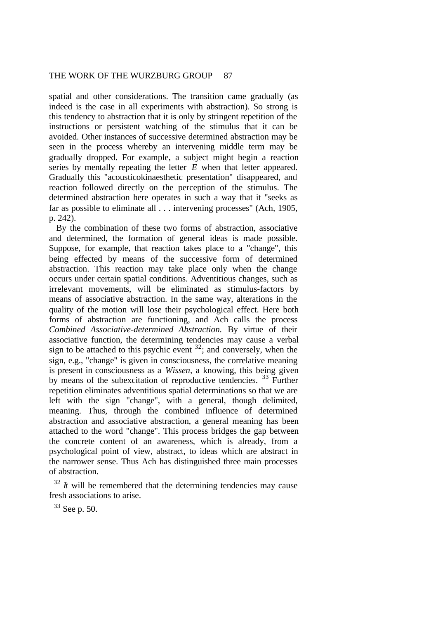spatial and other considerations. The transition came gradually (as indeed is the case in all experiments with abstraction). So strong is this tendency to abstraction that it is only by stringent repetition of the instructions or persistent watching of the stimulus that it can be avoided. Other instances of successive determined abstraction may be seen in the process whereby an intervening middle term may be gradually dropped. For example, a subject might begin a reaction series by mentally repeating the letter *E* when that letter appeared. Gradually this "acousticokinaesthetic presentation" disappeared, and reaction followed directly on the perception of the stimulus. The determined abstraction here operates in such a way that it "seeks as far as possible to eliminate all . . . intervening processes" (Ach, 1905, p. 242).

By the combination of these two forms of abstraction, associative and determined, the formation of general ideas is made possible. Suppose, for example, that reaction takes place to a "change", this being effected by means of the successive form of determined abstraction. This reaction may take place only when the change occurs under certain spatial conditions. Adventitious changes, such as irrelevant movements, will be eliminated as stimulus-factors by means of associative abstraction. In the same way, alterations in the quality of the motion will lose their psychological effect. Here both forms of abstraction are functioning, and Ach calls the process *Combined Associative-determined Abstraction.* By virtue of their associative function, the determining tendencies may cause a verbal sign to be attached to this psychic event  $32$ ; and conversely, when the sign, e.g., "change" is given in consciousness, the correlative meaning is present in consciousness as a *Wissen,* a knowing, this being given by means of the subexcitation of reproductive tendencies. <sup>33</sup> Further repetition eliminates adventitious spatial determinations so that we are left with the sign "change", with a general, though delimited, meaning. Thus, through the combined influence of determined abstraction and associative abstraction, a general meaning has been attached to the word "change". This process bridges the gap between the concrete content of an awareness, which is already, from a psychological point of view, abstract, to ideas which are abstract in the narrower sense. Thus Ach has distinguished three main processes of abstraction.

 $32$  *It* will be remembered that the determining tendencies may cause fresh associations to arise.

<sup>33</sup> See p. 50.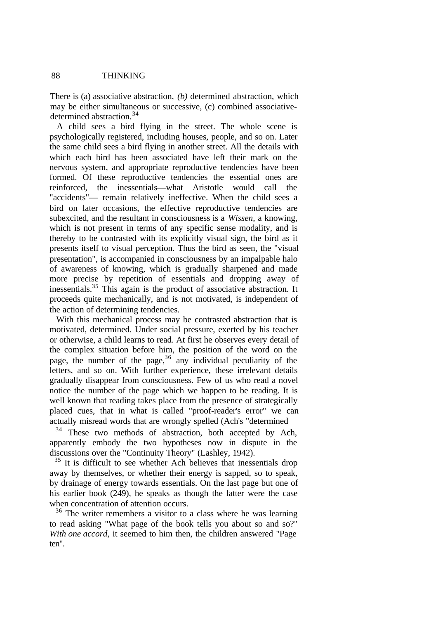There is (a) associative abstraction, *(b)* determined abstraction, which may be either simultaneous or successive, (c) combined associativedetermined abstraction.<sup>34</sup>

A child sees a bird flying in the street. The whole scene is psychologically registered, including houses, people, and so on. Later the same child sees a bird flying in another street. All the details with which each bird has been associated have left their mark on the nervous system, and appropriate reproductive tendencies have been formed. Of these reproductive tendencies the essential ones are reinforced, the inessentials—what Aristotle would call the "accidents"— remain relatively ineffective. When the child sees a bird on later occasions, the effective reproductive tendencies are subexcited, and the resultant in consciousness is a *Wissen,* a knowing, which is not present in terms of any specific sense modality, and is thereby to be contrasted with its explicitly visual sign, the bird as it presents itself to visual perception. Thus the bird as seen, the "visual presentation", is accompanied in consciousness by an impalpable halo of awareness of knowing, which is gradually sharpened and made more precise by repetition of essentials and dropping away of inessentials.<sup>35</sup> This again is the product of associative abstraction. It proceeds quite mechanically, and is not motivated, is independent of the action of determining tendencies.

With this mechanical process may be contrasted abstraction that is motivated, determined. Under social pressure, exerted by his teacher or otherwise, a child learns to read. At first he observes every detail of the complex situation before him, the position of the word on the page, the number of the page,  $36$  any individual peculiarity of the letters, and so on. With further experience, these irrelevant details gradually disappear from consciousness. Few of us who read a novel notice the number of the page which we happen to be reading. It is well known that reading takes place from the presence of strategically placed cues, that in what is called "proof-reader's error" we can actually misread words that are wrongly spelled (Ach's "determined

<sup>34</sup> These two methods of abstraction, both accepted by Ach, apparently embody the two hypotheses now in dispute in the discussions over the "Continuity Theory" (Lashley, 1942).

 $35$  It is difficult to see whether Ach believes that inessentials drop away by themselves, or whether their energy is sapped, so to speak, by drainage of energy towards essentials. On the last page but one of his earlier book (249), he speaks as though the latter were the case when concentration of attention occurs.

 $36$  The writer remembers a visitor to a class where he was learning to read asking "What page of the book tells you about so and so?" *With one accord,* it seemed to him then, the children answered "Page ten".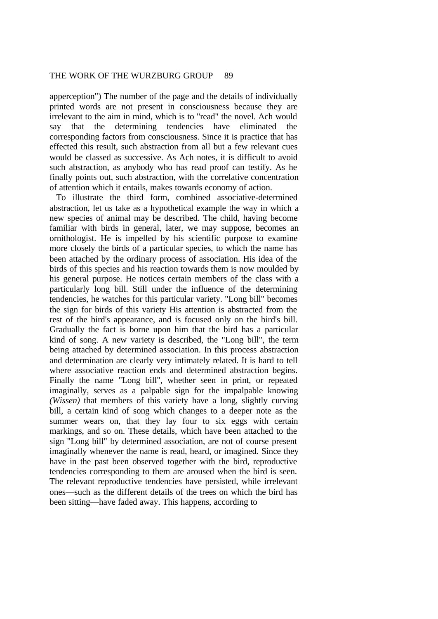apperception") The number of the page and the details of individually printed words are not present in consciousness because they are irrelevant to the aim in mind, which is to "read" the novel. Ach would say that the determining tendencies have eliminated the corresponding factors from consciousness. Since it is practice that has effected this result, such abstraction from all but a few relevant cues would be classed as successive. As Ach notes, it is difficult to avoid such abstraction, as anybody who has read proof can testify. As he finally points out, such abstraction, with the correlative concentration of attention which it entails, makes towards economy of action.

To illustrate the third form, combined associative-determined abstraction, let us take as a hypothetical example the way in which a new species of animal may be described. The child, having become familiar with birds in general, later, we may suppose, becomes an ornithologist. He is impelled by his scientific purpose to examine more closely the birds of a particular species, to which the name has been attached by the ordinary process of association. His idea of the birds of this species and his reaction towards them is now moulded by his general purpose. He notices certain members of the class with a particularly long bill. Still under the influence of the determining tendencies, he watches for this particular variety. "Long bill" becomes the sign for birds of this variety His attention is abstracted from the rest of the bird's appearance, and is focused only on the bird's bill. Gradually the fact is borne upon him that the bird has a particular kind of song. A new variety is described, the "Long bill", the term being attached by determined association. In this process abstraction and determination are clearly very intimately related. It is hard to tell where associative reaction ends and determined abstraction begins. Finally the name "Long bill", whether seen in print, or repeated imaginally, serves as a palpable sign for the impalpable knowing *(Wissen)* that members of this variety have a long, slightly curving bill, a certain kind of song which changes to a deeper note as the summer wears on, that they lay four to six eggs with certain markings, and so on. These details, which have been attached to the sign "Long bill" by determined association, are not of course present imaginally whenever the name is read, heard, or imagined. Since they have in the past been observed together with the bird, reproductive tendencies corresponding to them are aroused when the bird is seen. The relevant reproductive tendencies have persisted, while irrelevant ones—such as the different details of the trees on which the bird has been sitting—have faded away. This happens, according to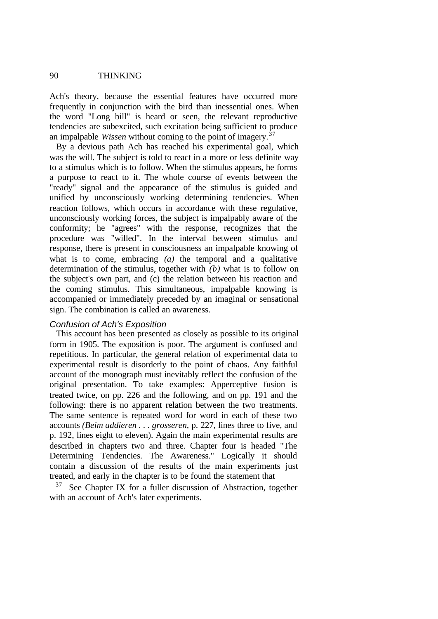Ach's theory, because the essential features have occurred more frequently in conjunction with the bird than inessential ones. When the word "Long bill" is heard or seen, the relevant reproductive tendencies are subexcited, such excitation being sufficient to produce an impalpable *Wissen* without coming to the point of imagery.<sup>37</sup>

By a devious path Ach has reached his experimental goal, which was the will. The subject is told to react in a more or less definite way to a stimulus which is to follow. When the stimulus appears, he forms a purpose to react to it. The whole course of events between the "ready" signal and the appearance of the stimulus is guided and unified by unconsciously working determining tendencies. When reaction follows, which occurs in accordance with these regulative, unconsciously working forces, the subject is impalpably aware of the conformity; he "agrees" with the response, recognizes that the procedure was "willed". In the interval between stimulus and response, there is present in consciousness an impalpable knowing of what is to come, embracing *(a)* the temporal and a qualitative determination of the stimulus, together with *(b)* what is to follow on the subject's own part, and (c) the relation between his reaction and the coming stimulus. This simultaneous, impalpable knowing is accompanied or immediately preceded by an imaginal or sensational sign. The combination is called an awareness.

#### *Confusion of Ach's Exposition*

This account has been presented as closely as possible to its original form in 1905. The exposition is poor. The argument is confused and repetitious. In particular, the general relation of experimental data to experimental result is disorderly to the point of chaos. Any faithful account of the monograph must inevitably reflect the confusion of the original presentation. To take examples: Apperceptive fusion is treated twice, on pp. 226 and the following, and on pp. 191 and the following: there is no apparent relation between the two treatments. The same sentence is repeated word for word in each of these two accounts *(Beim addieren . . . grosseren,* p. 227, lines three to five, and p. 192, lines eight to eleven). Again the main experimental results are described in chapters two and three. Chapter four is headed "The Determining Tendencies. The Awareness." Logically it should contain a discussion of the results of the main experiments just treated, and early in the chapter is to be found the statement that

<sup>37</sup> See Chapter IX for a fuller discussion of Abstraction, together with an account of Ach's later experiments.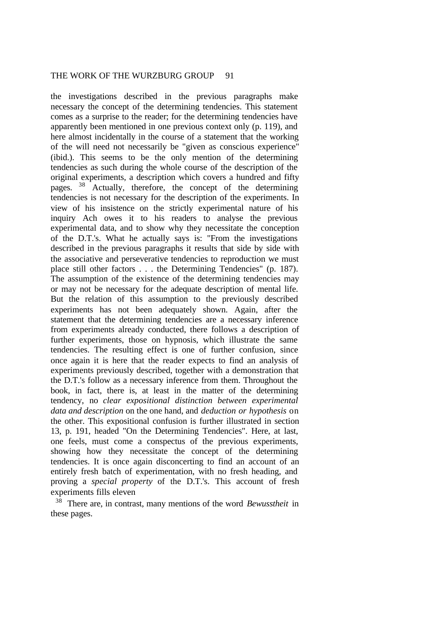the investigations described in the previous paragraphs make necessary the concept of the determining tendencies. This statement comes as a surprise to the reader; for the determining tendencies have apparently been mentioned in one previous context only (p. 119), and here almost incidentally in the course of a statement that the working of the will need not necessarily be "given as conscious experience" (ibid.). This seems to be the only mention of the determining tendencies as such during the whole course of the description of the original experiments, a description which covers a hundred and fifty pages. <sup>38</sup> Actually, therefore, the concept of the determining tendencies is not necessary for the description of the experiments. In view of his insistence on the strictly experimental nature of his inquiry Ach owes it to his readers to analyse the previous experimental data, and to show why they necessitate the conception of the D.T.'s. What he actually says is: "From the investigations described in the previous paragraphs it results that side by side with the associative and perseverative tendencies to reproduction we must place still other factors . . . the Determining Tendencies" (p. 187). The assumption of the existence of the determining tendencies may or may not be necessary for the adequate description of mental life. But the relation of this assumption to the previously described experiments has not been adequately shown. Again, after the statement that the determining tendencies are a necessary inference from experiments already conducted, there follows a description of further experiments, those on hypnosis, which illustrate the same tendencies. The resulting effect is one of further confusion, since once again it is here that the reader expects to find an analysis of experiments previously described, together with a demonstration that the D.T.'s follow as a necessary inference from them. Throughout the book, in fact, there is, at least in the matter of the determining tendency, no *clear expositional distinction between experimental data and description* on the one hand, and *deduction or hypothesis* on the other. This expositional confusion is further illustrated in section 13, p. 191, headed "On the Determining Tendencies". Here, at last, one feels, must come a conspectus of the previous experiments, showing how they necessitate the concept of the determining tendencies. It is once again disconcerting to find an account of an entirely fresh batch of experimentation, with no fresh heading, and proving a *special property* of the D.T.'s. This account of fresh experiments fills eleven

<sup>38</sup> There are, in contrast, many mentions of the word *Bewusstheit* in these pages.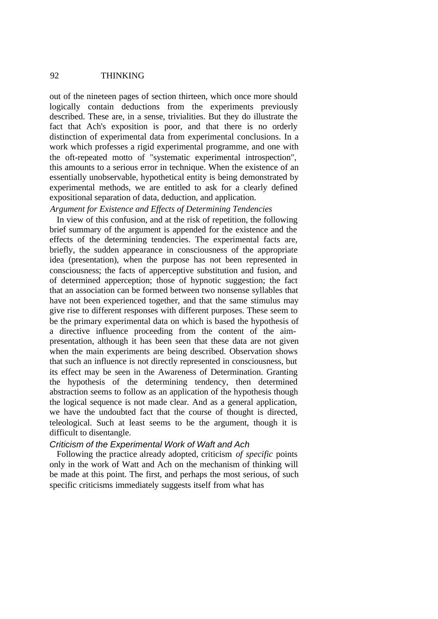out of the nineteen pages of section thirteen, which once more should logically contain deductions from the experiments previously described. These are, in a sense, trivialities. But they do illustrate the fact that Ach's exposition is poor, and that there is no orderly distinction of experimental data from experimental conclusions. In a work which professes a rigid experimental programme, and one with the oft-repeated motto of "systematic experimental introspection", this amounts to a serious error in technique. When the existence of an essentially unobservable, hypothetical entity is being demonstrated by experimental methods, we are entitled to ask for a clearly defined expositional separation of data, deduction, and application.

## *Argument for Existence and Effects of Determining Tendencies*

In view of this confusion, and at the risk of repetition, the following brief summary of the argument is appended for the existence and the effects of the determining tendencies. The experimental facts are, briefly, the sudden appearance in consciousness of the appropriate idea (presentation), when the purpose has not been represented in consciousness; the facts of apperceptive substitution and fusion, and of determined apperception; those of hypnotic suggestion; the fact that an association can be formed between two nonsense syllables that have not been experienced together, and that the same stimulus may give rise to different responses with different purposes. These seem to be the primary experimental data on which is based the hypothesis of a directive influence proceeding from the content of the aimpresentation, although it has been seen that these data are not given when the main experiments are being described. Observation shows that such an influence is not directly represented in consciousness, but its effect may be seen in the Awareness of Determination. Granting the hypothesis of the determining tendency, then determined abstraction seems to follow as an application of the hypothesis though the logical sequence is not made clear. And as a general application, we have the undoubted fact that the course of thought is directed, teleological. Such at least seems to be the argument, though it is difficult to disentangle.

## *Criticism of the Experimental Work of Waft and Ach*

Following the practice already adopted, criticism *of specific* points only in the work of Watt and Ach on the mechanism of thinking will be made at this point. The first, and perhaps the most serious, of such specific criticisms immediately suggests itself from what has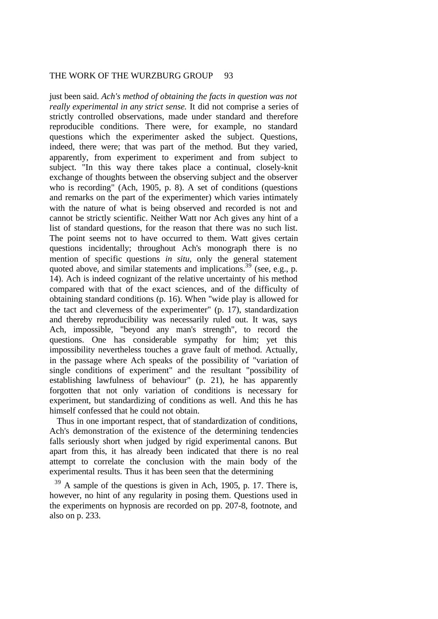just been said. *Ach's method of obtaining the facts in question was not really experimental in any strict sense.* It did not comprise a series of strictly controlled observations, made under standard and therefore reproducible conditions. There were, for example, no standard questions which the experimenter asked the subject. Questions, indeed, there were; that was part of the method. But they varied, apparently, from experiment to experiment and from subject to subject. "In this way there takes place a continual, closely-knit exchange of thoughts between the observing subject and the observer who is recording" (Ach, 1905, p. 8). A set of conditions (questions and remarks on the part of the experimenter) which varies intimately with the nature of what is being observed and recorded is not and cannot be strictly scientific. Neither Watt nor Ach gives any hint of a list of standard questions, for the reason that there was no such list. The point seems not to have occurred to them. Watt gives certain questions incidentally; throughout Ach's monograph there is no mention of specific questions *in situ,* only the general statement quoted above, and similar statements and implications.<sup>39</sup> (see, e.g., p. 14). Ach is indeed cognizant of the relative uncertainty of his method compared with that of the exact sciences, and of the difficulty of obtaining standard conditions (p. 16). When "wide play is allowed for the tact and cleverness of the experimenter" (p. 17), standardization and thereby reproducibility was necessarily ruled out. It was, says Ach, impossible, "beyond any man's strength", to record the questions. One has considerable sympathy for him; yet this impossibility nevertheless touches a grave fault of method. Actually, in the passage where Ach speaks of the possibility of "variation of single conditions of experiment" and the resultant "possibility of establishing lawfulness of behaviour" (p. 21), he has apparently forgotten that not only variation of conditions is necessary for experiment, but standardizing of conditions as well. And this he has himself confessed that he could not obtain.

Thus in one important respect, that of standardization of conditions, Ach's demonstration of the existence of the determining tendencies falls seriously short when judged by rigid experimental canons. But apart from this, it has already been indicated that there is no real attempt to correlate the conclusion with the main body of the experimental results. Thus it has been seen that the determining

 $39$  A sample of the questions is given in Ach, 1905, p. 17. There is, however, no hint of any regularity in posing them. Questions used in the experiments on hypnosis are recorded on pp. 207-8, footnote, and also on p. 233.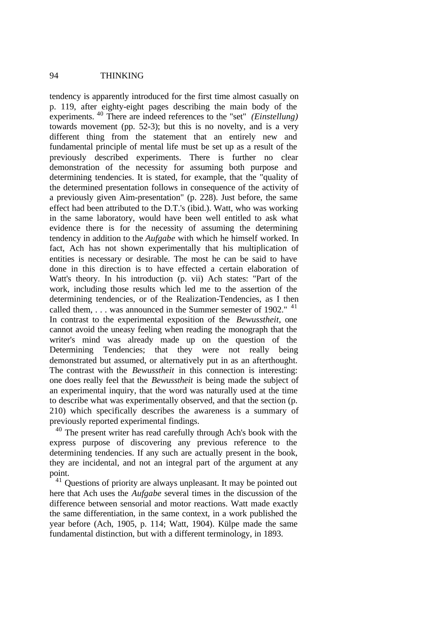tendency is apparently introduced for the first time almost casually on p. 119, after eighty-eight pages describing the main body of the experiments. <sup>40</sup> There are indeed references to the "set" *(Einstellung)* towards movement (pp. 52-3); but this is no novelty, and is a very different thing from the statement that an entirely new and fundamental principle of mental life must be set up as a result of the previously described experiments. There is further no clear demonstration of the necessity for assuming both purpose and determining tendencies. It is stated, for example, that the "quality of the determined presentation follows in consequence of the activity of a previously given Aim-presentation" (p. 228). Just before, the same effect had been attributed to the D.T.'s (ibid.). Watt, who was working in the same laboratory, would have been well entitled to ask what evidence there is for the necessity of assuming the determining tendency in addition to the *Aufgabe* with which he himself worked. In fact, Ach has not shown experimentally that his multiplication of entities is necessary or desirable. The most he can be said to have done in this direction is to have effected a certain elaboration of Watt's theory. In his introduction (p. vii) Ach states: "Part of the work, including those results which led me to the assertion of the determining tendencies, or of the Realization-Tendencies, as I then called them,  $\ldots$  was announced in the Summer semester of 1902."  $41$ In contrast to the experimental exposition of the *Bewusstheit,* one cannot avoid the uneasy feeling when reading the monograph that the writer's mind was already made up on the question of the Determining Tendencies; that they were not really being demonstrated but assumed, or alternatively put in as an afterthought. The contrast with the *Bewusstheit* in this connection is interesting: one does really feel that the *Bewusstheit* is being made the subject of an experimental inquiry, that the word was naturally used at the time to describe what was experimentally observed, and that the section (p. 210) which specifically describes the awareness is a summary of previously reported experimental findings.

<sup>40</sup> The present writer has read carefully through Ach's book with the express purpose of discovering any previous reference to the determining tendencies. If any such are actually present in the book, they are incidental, and not an integral part of the argument at any point.

<sup>41</sup> Questions of priority are always unpleasant. It may be pointed out here that Ach uses the *Aufgabe* several times in the discussion of the difference between sensorial and motor reactions. Watt made exactly the same differentiation, in the same context, in a work published the year before (Ach, 1905, p. 114; Watt, 1904). Külpe made the same fundamental distinction, but with a different terminology, in 1893.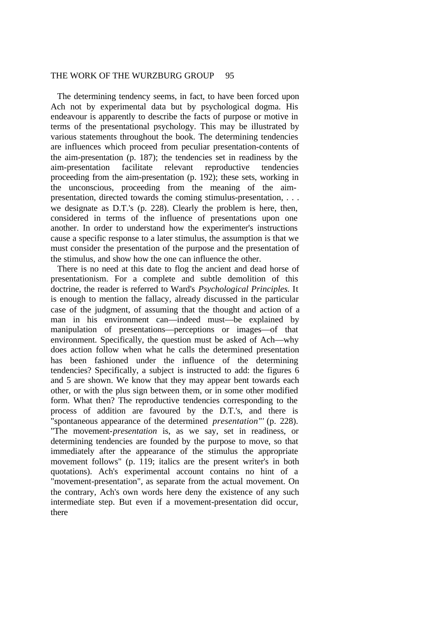The determining tendency seems, in fact, to have been forced upon Ach not by experimental data but by psychological dogma. His endeavour is apparently to describe the facts of purpose or motive in terms of the presentational psychology. This may be illustrated by various statements throughout the book. The determining tendencies are influences which proceed from peculiar presentation-contents of the aim-presentation (p. 187); the tendencies set in readiness by the aim-presentation facilitate relevant reproductive tendencies proceeding from the aim-presentation (p. 192); these sets, working in the unconscious, proceeding from the meaning of the aimpresentation, directed towards the coming stimulus-presentation, . . . we designate as D.T.'s (p. 228). Clearly the problem is here, then, considered in terms of the influence of presentations upon one another. In order to understand how the experimenter's instructions cause a specific response to a later stimulus, the assumption is that we must consider the presentation of the purpose and the presentation of the stimulus, and show how the one can influence the other.

There is no need at this date to flog the ancient and dead horse of presentationism. For a complete and subtle demolition of this doctrine, the reader is referred to Ward's *Psychological Principles.* It is enough to mention the fallacy, already discussed in the particular case of the judgment, of assuming that the thought and action of a man in his environment can—indeed must—be explained by manipulation of presentations—perceptions or images—of that environment. Specifically, the question must be asked of Ach—why does action follow when what he calls the determined presentation has been fashioned under the influence of the determining tendencies? Specifically, a subject is instructed to add: the figures 6 and 5 are shown. We know that they may appear bent towards each other, or with the plus sign between them, or in some other modified form. What then? The reproductive tendencies corresponding to the process of addition are favoured by the D.T.'s, and there is "spontaneous appearance of the determined *presentation"'* (p. 228). "The movement-*presentation* is, as we say, set in readiness, or determining tendencies are founded by the purpose to move, so that immediately after the appearance of the stimulus the appropriate movement follows" (p. 119; italics are the present writer's in both quotations). Ach's experimental account contains no hint of a "movement-presentation", as separate from the actual movement. On the contrary, Ach's own words here deny the existence of any such intermediate step. But even if a movement-presentation did occur, there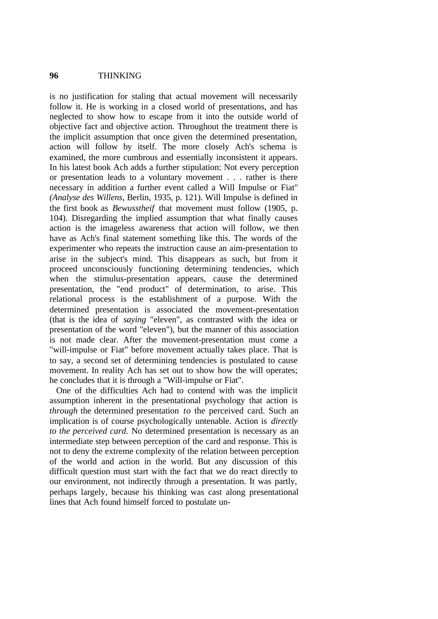is no justification for staling that actual movement will necessarily follow it. He is working in a closed world of presentations, and has neglected to show how to escape from it into the outside world of objective fact and objective action. Throughout the treatment there is the implicit assumption that once given the determined presentation, action will follow by itself. The more closely Ach's schema is examined, the more cumbrous and essentially inconsistent it appears. In his latest book Ach adds a further stipulation: Not every perception or presentation leads to a voluntary movement . . . rather is there necessary in addition a further event called a Will Impulse or Fiat" *(Analyse des Willens,* Berlin, 1935, p. 121). Will Impulse is defined in the first book as *Bewusstheif* that movement must follow (1905, p. 104). Disregarding the implied assumption that what finally causes action is the imageless awareness that action will follow, we then have as Ach's final statement something like this. The words of the experimenter who repeats the instruction cause an aim-presentation to arise in the subject's mind. This disappears as such, but from it proceed unconsciously functioning determining tendencies, which when the stimulus-presentation appears, cause the determined presentation, the "end product" of determination, to arise. This relational process is the establishment of a purpose. With the determined presentation is associated the movement-presentation (that is the idea of *saying* "eleven", as contrasted with the idea or presentation of the word "eleven"), but the manner of this association is not made clear. After the movement-presentation must come a "will-impulse or Fiat" before movement actually takes place. That is to say, a second set of determining tendencies is postulated to cause movement. In reality Ach has set out to show how the will operates; he concludes that it is through a "Will-impulse or Fiat".

One of the difficulties Ach had to contend with was the implicit assumption inherent in the presentational psychology that action is *through* the determined presentation *to* the perceived card. Such an implication is of course psychologically untenable. Action is *directly to the perceived card.* No determined presentation is necessary as an intermediate step between perception of the card and response. This is not to deny the extreme complexity of the relation between perception of the world and action in the world. But any discussion of this difficult question must start with the fact that we do react directly to our environment, not indirectly through a presentation. It was partly, perhaps largely, because his thinking was cast along presentational lines that Ach found himself forced to postulate un-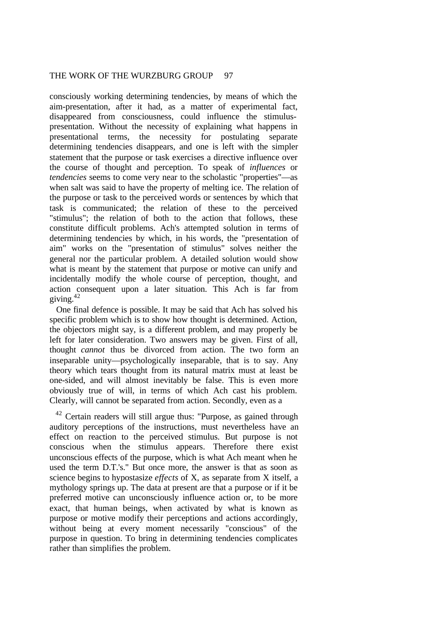consciously working determining tendencies, by means of which the aim-presentation, after it had, as a matter of experimental fact, disappeared from consciousness, could influence the stimuluspresentation. Without the necessity of explaining what happens in presentational terms, the necessity for postulating separate determining tendencies disappears, and one is left with the simpler statement that the purpose or task exercises a directive influence over the course of thought and perception. To speak of *influences* or *tendencies* seems to come very near to the scholastic "properties"—as when salt was said to have the property of melting ice. The relation of the purpose or task to the perceived words or sentences by which that task is communicated; the relation of these to the perceived "stimulus"; the relation of both to the action that follows, these constitute difficult problems. Ach's attempted solution in terms of determining tendencies by which, in his words, the "presentation of aim" works on the "presentation of stimulus" solves neither the general nor the particular problem. A detailed solution would show what is meant by the statement that purpose or motive can unify and incidentally modify the whole course of perception, thought, and action consequent upon a later situation. This Ach is far from giving. $42$ 

One final defence is possible. It may be said that Ach has solved his specific problem which is to show how thought is determined. Action, the objectors might say, is a different problem, and may properly be left for later consideration. Two answers may be given. First of all, thought *cannot* thus be divorced from action. The two form an inseparable unity—psychologically inseparable, that is to say. Any theory which tears thought from its natural matrix must at least be one-sided, and will almost inevitably be false. This is even more obviously true of will, in terms of which Ach cast his problem. Clearly, will cannot be separated from action. Secondly, even as a

<sup>42</sup> Certain readers will still argue thus: "Purpose, as gained through auditory perceptions of the instructions, must nevertheless have an effect on reaction to the perceived stimulus. But purpose is not conscious when the stimulus appears. Therefore there exist unconscious effects of the purpose, which is what Ach meant when he used the term D.T.'s." But once more, the answer is that as soon as science begins to hypostasize *effects* of X, as separate from X itself, a mythology springs up. The data at present are that a purpose or if it be preferred motive can unconsciously influence action or, to be more exact, that human beings, when activated by what is known as purpose or motive modify their perceptions and actions accordingly, without being at every moment necessarily "conscious" of the purpose in question. To bring in determining tendencies complicates rather than simplifies the problem.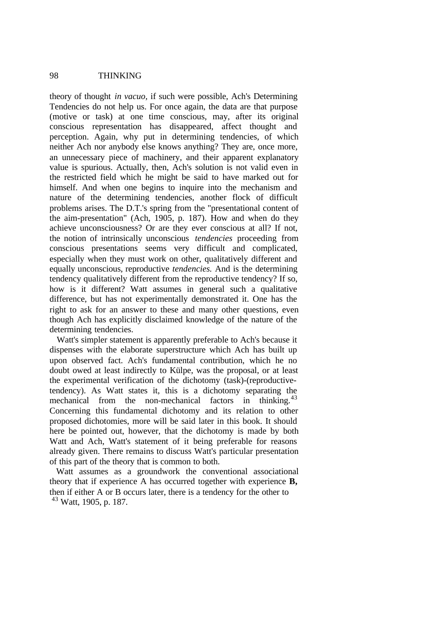theory of thought *in vacuo,* if such were possible, Ach's Determining Tendencies do not help us. For once again, the data are that purpose (motive or task) at one time conscious, may, after its original conscious representation has disappeared, affect thought and perception. Again, why put in determining tendencies, of which neither Ach nor anybody else knows anything? They are, once more, an unnecessary piece of machinery, and their apparent explanatory value is spurious. Actually, then, Ach's solution is not valid even in the restricted field which he might be said to have marked out for himself. And when one begins to inquire into the mechanism and nature of the determining tendencies, another flock of difficult problems arises. The D.T.'s spring from the "presentational content of the aim-presentation" (Ach, 1905, p. 187). How and when do they achieve unconsciousness? Or are they ever conscious at all? If not, the notion of intrinsically unconscious *tendencies* proceeding from conscious presentations seems very difficult and complicated, especially when they must work on other, qualitatively different and equally unconscious, reproductive *tendencies.* And is the determining tendency qualitatively different from the reproductive tendency? If so, how is it different? Watt assumes in general such a qualitative difference, but has not experimentally demonstrated it. One has the right to ask for an answer to these and many other questions, even though Ach has explicitly disclaimed knowledge of the nature of the determining tendencies.

Watt's simpler statement is apparently preferable to Ach's because it dispenses with the elaborate superstructure which Ach has built up upon observed fact. Ach's fundamental contribution, which he no doubt owed at least indirectly to Külpe, was the proposal, or at least the experimental verification of the dichotomy (task)-(reproductivetendency). As Watt states it, this is a dichotomy separating the mechanical from the non-mechanical factors in thinking.<sup>43</sup> Concerning this fundamental dichotomy and its relation to other proposed dichotomies, more will be said later in this book. It should here be pointed out, however, that the dichotomy is made by both Watt and Ach, Watt's statement of it being preferable for reasons already given. There remains to discuss Watt's particular presentation of this part of the theory that is common to both.

Watt assumes as a groundwork the conventional associational theory that if experience A has occurred together with experience **B,** then if either A or B occurs later, there is a tendency for the other to  $43$  Watt, 1905, p. 187.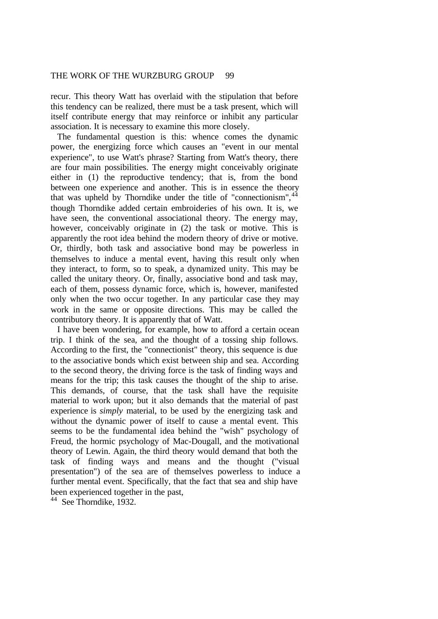recur. This theory Watt has overlaid with the stipulation that before this tendency can be realized, there must be a task present, which will itself contribute energy that may reinforce or inhibit any particular association. It is necessary to examine this more closely.

The fundamental question is this: whence comes the dynamic power, the energizing force which causes an "event in our mental experience", to use Watt's phrase? Starting from Watt's theory, there are four main possibilities. The energy might conceivably originate either in (1) the reproductive tendency; that is, from the bond between one experience and another. This is in essence the theory that was upheld by Thorndike under the title of "connectionism",  $44$ though Thorndike added certain embroideries of his own. It is, we have seen, the conventional associational theory. The energy may, however, conceivably originate in (2) the task or motive. This is apparently the root idea behind the modern theory of drive or motive. Or, thirdly, both task and associative bond may be powerless in themselves to induce a mental event, having this result only when they interact, to form, so to speak, a dynamized unity. This may be called the unitary theory. Or, finally, associative bond and task may, each of them, possess dynamic force, which is, however, manifested only when the two occur together. In any particular case they may work in the same or opposite directions. This may be called the contributory theory. It is apparently that of Watt.

I have been wondering, for example, how to afford a certain ocean trip. I think of the sea, and the thought of a tossing ship follows. According to the first, the "connectionist" theory, this sequence is due to the associative bonds which exist between ship and sea. According to the second theory, the driving force is the task of finding ways and means for the trip; this task causes the thought of the ship to arise. This demands, of course, that the task shall have the requisite material to work upon; but it also demands that the material of past experience is *simply* material, to be used by the energizing task and without the dynamic power of itself to cause a mental event. This seems to be the fundamental idea behind the "wish" psychology of Freud, the hormic psychology of Mac-Dougall, and the motivational theory of Lewin. Again, the third theory would demand that both the task of finding ways and means and the thought ("visual presentation") of the sea are of themselves powerless to induce a further mental event. Specifically, that the fact that sea and ship have been experienced together in the past,

<sup>44</sup> See Thorndike, 1932.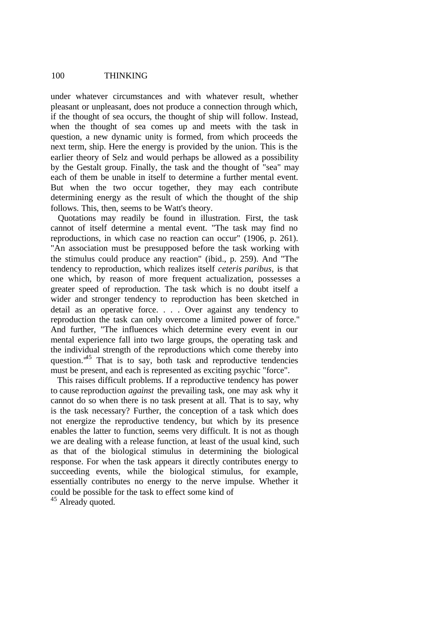under whatever circumstances and with whatever result, whether pleasant or unpleasant, does not produce a connection through which, if the thought of sea occurs, the thought of ship will follow. Instead, when the thought of sea comes up and meets with the task in question, a new dynamic unity is formed, from which proceeds the next term, ship. Here the energy is provided by the union. This is the earlier theory of Selz and would perhaps be allowed as a possibility by the Gestalt group. Finally, the task and the thought of "sea" may each of them be unable in itself to determine a further mental event. But when the two occur together, they may each contribute determining energy as the result of which the thought of the ship follows. This, then, seems to be Watt's theory.

Quotations may readily be found in illustration. First, the task cannot of itself determine a mental event. "The task may find no reproductions, in which case no reaction can occur" (1906, p. 261). "An association must be presupposed before the task working with the stimulus could produce any reaction" (ibid., p. 259). And "The tendency to reproduction, which realizes itself *ceteris paribus,* is that one which, by reason of more frequent actualization, possesses a greater speed of reproduction. The task which is no doubt itself a wider and stronger tendency to reproduction has been sketched in detail as an operative force. . . . Over against any tendency to reproduction the task can only overcome a limited power of force." And further, "The influences which determine every event in our mental experience fall into two large groups, the operating task and the individual strength of the reproductions which come thereby into question.<sup>45</sup> That is to say, both task and reproductive tendencies must be present, and each is represented as exciting psychic "force".

This raises difficult problems. If a reproductive tendency has power to cause reproduction *against* the prevailing task, one may ask why it cannot do so when there is no task present at all. That is to say, why is the task necessary? Further, the conception of a task which does not energize the reproductive tendency, but which by its presence enables the latter to function, seems very difficult. It is not as though we are dealing with a release function, at least of the usual kind, such as that of the biological stimulus in determining the biological response. For when the task appears it directly contributes energy to succeeding events, while the biological stimulus, for example, essentially contributes no energy to the nerve impulse. Whether it could be possible for the task to effect some kind of

<sup>45</sup> Already quoted.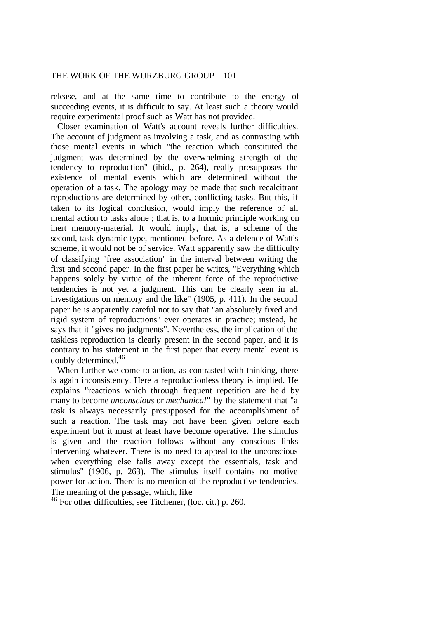release, and at the same time to contribute to the energy of succeeding events, it is difficult to say. At least such a theory would require experimental proof such as Watt has not provided.

Closer examination of Watt's account reveals further difficulties. The account of judgment as involving a task, and as contrasting with those mental events in which "the reaction which constituted the judgment was determined by the overwhelming strength of the tendency to reproduction" (ibid., p. 264), really presupposes the existence of mental events which are determined without the operation of a task. The apology may be made that such recalcitrant reproductions are determined by other, conflicting tasks. But this, if taken to its logical conclusion, would imply the reference of all mental action to tasks alone ; that is, to a hormic principle working on inert memory-material. It would imply, that is, a scheme of the second, task-dynamic type, mentioned before. As a defence of Watt's scheme, it would not be of service. Watt apparently saw the difficulty of classifying "free association" in the interval between writing the first and second paper. In the first paper he writes, "Everything which happens solely by virtue of the inherent force of the reproductive tendencies is not yet a judgment. This can be clearly seen in all investigations on memory and the like" (1905, p. 411). In the second paper he is apparently careful not to say that "an absolutely fixed and rigid system of reproductions" ever operates in practice; instead, he says that it "gives no judgments". Nevertheless, the implication of the taskless reproduction is clearly present in the second paper, and it is contrary to his statement in the first paper that every mental event is doubly determined.<sup>46</sup>

When further we come to action, as contrasted with thinking, there is again inconsistency. Here a reproductionless theory is implied. He explains "reactions which through frequent repetition are held by many to become *unconscious* or *mechanical"* by the statement that "a task is always necessarily presupposed for the accomplishment of such a reaction. The task may not have been given before each experiment but it must at least have become operative. The stimulus is given and the reaction follows without any conscious links intervening whatever. There is no need to appeal to the unconscious when everything else falls away except the essentials, task and stimulus" (1906, p. 263). The stimulus itself contains no motive power for action. There is no mention of the reproductive tendencies. The meaning of the passage, which, like

<sup>46</sup> For other difficulties, see Titchener, (loc. cit.) p. 260.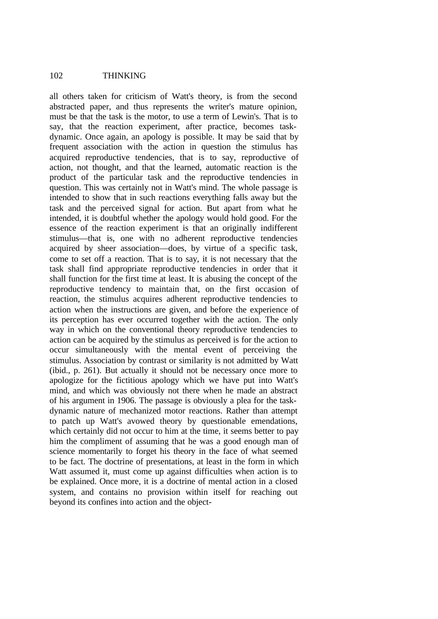all others taken for criticism of Watt's theory, is from the second abstracted paper, and thus represents the writer's mature opinion, must be that the task is the motor, to use a term of Lewin's. That is to say, that the reaction experiment, after practice, becomes taskdynamic. Once again, an apology is possible. It may be said that by frequent association with the action in question the stimulus has acquired reproductive tendencies, that is to say, reproductive of action, not thought, and that the learned, automatic reaction is the product of the particular task and the reproductive tendencies in question. This was certainly not in Watt's mind. The whole passage is intended to show that in such reactions everything falls away but the task and the perceived signal for action. But apart from what he intended, it is doubtful whether the apology would hold good. For the essence of the reaction experiment is that an originally indifferent stimulus—that is, one with no adherent reproductive tendencies acquired by sheer association—does, by virtue of a specific task, come to set off a reaction. That is to say, it is not necessary that the task shall find appropriate reproductive tendencies in order that it shall function for the first time at least. It is abusing the concept of the reproductive tendency to maintain that, on the first occasion of reaction, the stimulus acquires adherent reproductive tendencies to action when the instructions are given, and before the experience of its perception has ever occurred together with the action. The only way in which on the conventional theory reproductive tendencies to action can be acquired by the stimulus as perceived is for the action to occur simultaneously with the mental event of perceiving the stimulus. Association by contrast or similarity is not admitted by Watt (ibid., p. 261). But actually it should not be necessary once more to apologize for the fictitious apology which we have put into Watt's mind, and which was obviously not there when he made an abstract of his argument in 1906. The passage is obviously a plea for the taskdynamic nature of mechanized motor reactions. Rather than attempt to patch up Watt's avowed theory by questionable emendations, which certainly did not occur to him at the time, it seems better to pay him the compliment of assuming that he was a good enough man of science momentarily to forget his theory in the face of what seemed to be fact. The doctrine of presentations, at least in the form in which Watt assumed it, must come up against difficulties when action is to be explained. Once more, it is a doctrine of mental action in a closed system, and contains no provision within itself for reaching out beyond its confines into action and the object-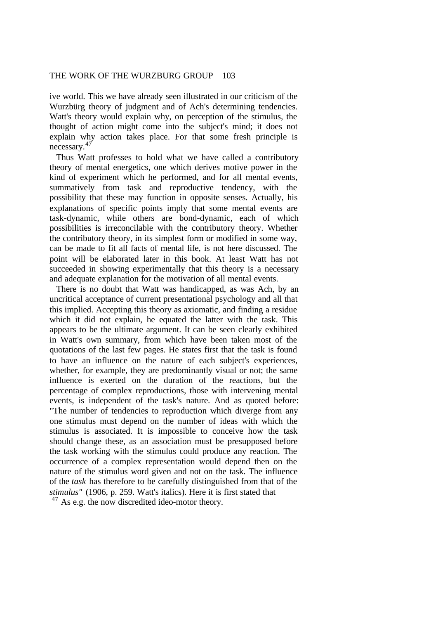ive world. This we have already seen illustrated in our criticism of the Wurzbürg theory of judgment and of Ach's determining tendencies. Watt's theory would explain why, on perception of the stimulus, the thought of action might come into the subject's mind; it does not explain why action takes place. For that some fresh principle is necessary.<sup>47</sup>

Thus Watt professes to hold what we have called a contributory theory of mental energetics, one which derives motive power in the kind of experiment which he performed, and for all mental events, summatively from task and reproductive tendency, with the possibility that these may function in opposite senses. Actually, his explanations of specific points imply that some mental events are task-dynamic, while others are bond-dynamic, each of which possibilities is irreconcilable with the contributory theory. Whether the contributory theory, in its simplest form or modified in some way, can be made to fit all facts of mental life, is not here discussed. The point will be elaborated later in this book. At least Watt has not succeeded in showing experimentally that this theory is a necessary and adequate explanation for the motivation of all mental events.

There is no doubt that Watt was handicapped, as was Ach, by an uncritical acceptance of current presentational psychology and all that this implied. Accepting this theory as axiomatic, and finding a residue which it did not explain, he equated the latter with the task. This appears to be the ultimate argument. It can be seen clearly exhibited in Watt's own summary, from which have been taken most of the quotations of the last few pages. He states first that the task is found to have an influence on the nature of each subject's experiences, whether, for example, they are predominantly visual or not; the same influence is exerted on the duration of the reactions, but the percentage of complex reproductions, those with intervening mental events, is independent of the task's nature. And as quoted before: "The number of tendencies to reproduction which diverge from any one stimulus must depend on the number of ideas with which the stimulus is associated. It is impossible to conceive how the task should change these, as an association must be presupposed before the task working with the stimulus could produce any reaction. The occurrence of a complex representation would depend then on the nature of the stimulus word given and not on the task. The influence of the *task* has therefore to be carefully distinguished from that of the *stimulus"* (1906, p. 259. Watt's italics). Here it is first stated that <sup>47</sup> As e.g. the now discredited ideo-motor theory.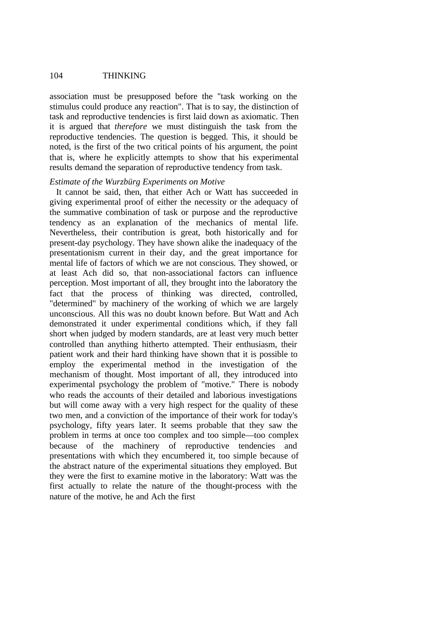association must be presupposed before the "task working on the stimulus could produce any reaction". That is to say, the distinction of task and reproductive tendencies is first laid down as axiomatic. Then it is argued that *therefore* we must distinguish the task from the reproductive tendencies. The question is begged. This, it should be noted, is the first of the two critical points of his argument, the point that is, where he explicitly attempts to show that his experimental results demand the separation of reproductive tendency from task.

## *Estimate of the Wurzbürg Experiments on Motive*

It cannot be said, then, that either Ach or Watt has succeeded in giving experimental proof of either the necessity or the adequacy of the summative combination of task or purpose and the reproductive tendency as an explanation of the mechanics of mental life. Nevertheless, their contribution is great, both historically and for present-day psychology. They have shown alike the inadequacy of the presentationism current in their day, and the great importance for mental life of factors of which we are not conscious. They showed, or at least Ach did so, that non-associational factors can influence perception. Most important of all, they brought into the laboratory the fact that the process of thinking was directed, controlled, "determined" by machinery of the working of which we are largely unconscious. All this was no doubt known before. But Watt and Ach demonstrated it under experimental conditions which, if they fall short when judged by modern standards, are at least very much better controlled than anything hitherto attempted. Their enthusiasm, their patient work and their hard thinking have shown that it is possible to employ the experimental method in the investigation of the mechanism of thought. Most important of all, they introduced into experimental psychology the problem of "motive." There is nobody who reads the accounts of their detailed and laborious investigations but will come away with a very high respect for the quality of these two men, and a conviction of the importance of their work for today's psychology, fifty years later. It seems probable that they saw the problem in terms at once too complex and too simple—too complex because of the machinery of reproductive tendencies and presentations with which they encumbered it, too simple because of the abstract nature of the experimental situations they employed. But they were the first to examine motive in the laboratory: Watt was the first actually to relate the nature of the thought-process with the nature of the motive, he and Ach the first